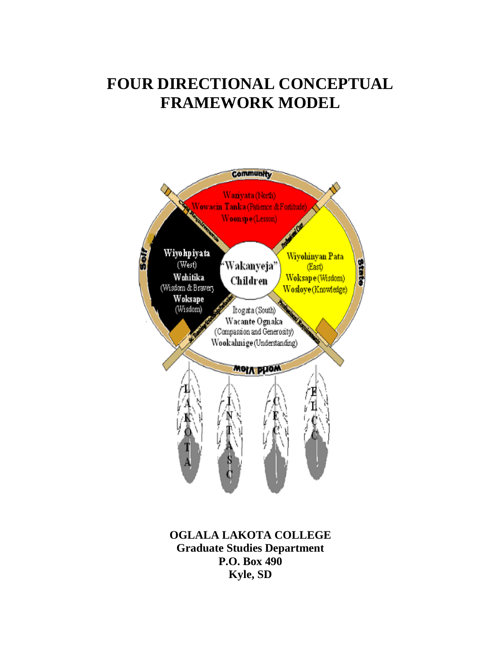# **FOUR DIRECTIONAL CONCEPTUAL FRAMEWORK MODEL**



**OGLALA LAKOTA COLLEGE Graduate Studies Department P.O. Box 490 Kyle, SD**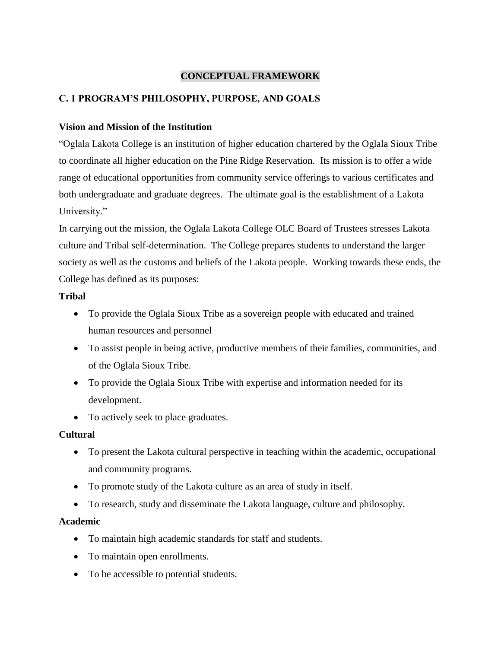### **CONCEPTUAL FRAMEWORK**

### **C. 1 PROGRAM'S PHILOSOPHY, PURPOSE, AND GOALS**

### **Vision and Mission of the Institution**

"Oglala Lakota College is an institution of higher education chartered by the Oglala Sioux Tribe to coordinate all higher education on the Pine Ridge Reservation. Its mission is to offer a wide range of educational opportunities from community service offerings to various certificates and both undergraduate and graduate degrees. The ultimate goal is the establishment of a Lakota University."

In carrying out the mission, the Oglala Lakota College OLC Board of Trustees stresses Lakota culture and Tribal self-determination. The College prepares students to understand the larger society as well as the customs and beliefs of the Lakota people. Working towards these ends, the College has defined as its purposes:

### **Tribal**

- To provide the Oglala Sioux Tribe as a sovereign people with educated and trained human resources and personnel
- To assist people in being active, productive members of their families, communities, and of the Oglala Sioux Tribe.
- To provide the Oglala Sioux Tribe with expertise and information needed for its development.
- To actively seek to place graduates.

### **Cultural**

- To present the Lakota cultural perspective in teaching within the academic, occupational and community programs.
- To promote study of the Lakota culture as an area of study in itself.
- To research, study and disseminate the Lakota language, culture and philosophy.

### **Academic**

- To maintain high academic standards for staff and students.
- To maintain open enrollments.
- To be accessible to potential students.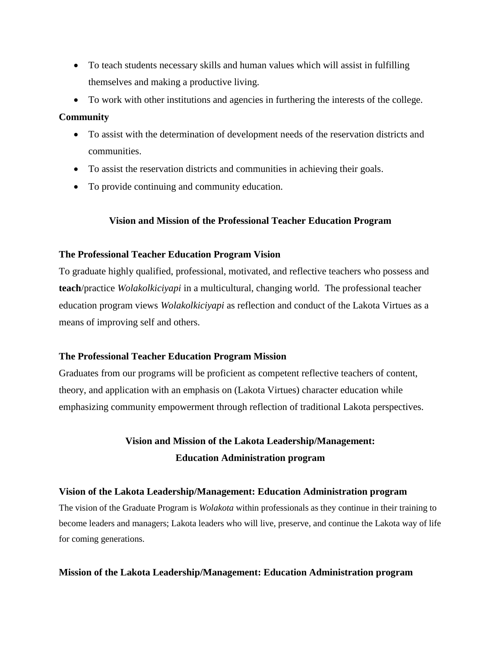- To teach students necessary skills and human values which will assist in fulfilling themselves and making a productive living.
- To work with other institutions and agencies in furthering the interests of the college.

### **Community**

- To assist with the determination of development needs of the reservation districts and communities.
- To assist the reservation districts and communities in achieving their goals.
- To provide continuing and community education.

### **Vision and Mission of the Professional Teacher Education Program**

### **The Professional Teacher Education Program Vision**

To graduate highly qualified, professional, motivated, and reflective teachers who possess and **teach**/practice *Wolakolkiciyapi* in a multicultural, changing world. The professional teacher education program views *Wolakolkiciyapi* as reflection and conduct of the Lakota Virtues as a means of improving self and others.

### **The Professional Teacher Education Program Mission**

Graduates from our programs will be proficient as competent reflective teachers of content, theory, and application with an emphasis on (Lakota Virtues) character education while emphasizing community empowerment through reflection of traditional Lakota perspectives.

## **Vision and Mission of the Lakota Leadership/Management: Education Administration program**

### **Vision of the Lakota Leadership/Management: Education Administration program**

The vision of the Graduate Program is *Wolakota* within professionals as they continue in their training to become leaders and managers; Lakota leaders who will live, preserve, and continue the Lakota way of life for coming generations.

### **Mission of the Lakota Leadership/Management: Education Administration program**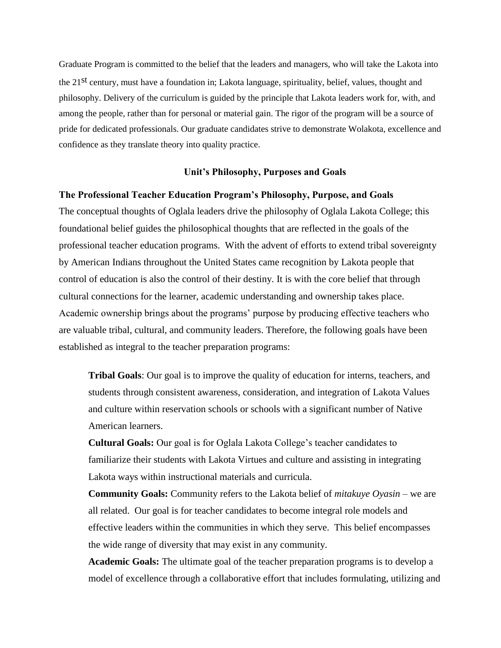Graduate Program is committed to the belief that the leaders and managers, who will take the Lakota into the 21st century, must have a foundation in; Lakota language, spirituality, belief, values, thought and philosophy. Delivery of the curriculum is guided by the principle that Lakota leaders work for, with, and among the people, rather than for personal or material gain. The rigor of the program will be a source of pride for dedicated professionals. Our graduate candidates strive to demonstrate Wolakota, excellence and confidence as they translate theory into quality practice.

#### **Unit's Philosophy, Purposes and Goals**

#### **The Professional Teacher Education Program's Philosophy, Purpose, and Goals**

The conceptual thoughts of Oglala leaders drive the philosophy of Oglala Lakota College; this foundational belief guides the philosophical thoughts that are reflected in the goals of the professional teacher education programs. With the advent of efforts to extend tribal sovereignty by American Indians throughout the United States came recognition by Lakota people that control of education is also the control of their destiny. It is with the core belief that through cultural connections for the learner, academic understanding and ownership takes place. Academic ownership brings about the programs' purpose by producing effective teachers who are valuable tribal, cultural, and community leaders. Therefore, the following goals have been established as integral to the teacher preparation programs:

**Tribal Goals**: Our goal is to improve the quality of education for interns, teachers, and students through consistent awareness, consideration, and integration of Lakota Values and culture within reservation schools or schools with a significant number of Native American learners.

**Cultural Goals:** Our goal is for Oglala Lakota College's teacher candidates to familiarize their students with Lakota Virtues and culture and assisting in integrating Lakota ways within instructional materials and curricula.

**Community Goals:** Community refers to the Lakota belief of *mitakuye Oyasin* – we are all related. Our goal is for teacher candidates to become integral role models and effective leaders within the communities in which they serve. This belief encompasses the wide range of diversity that may exist in any community.

**Academic Goals:** The ultimate goal of the teacher preparation programs is to develop a model of excellence through a collaborative effort that includes formulating, utilizing and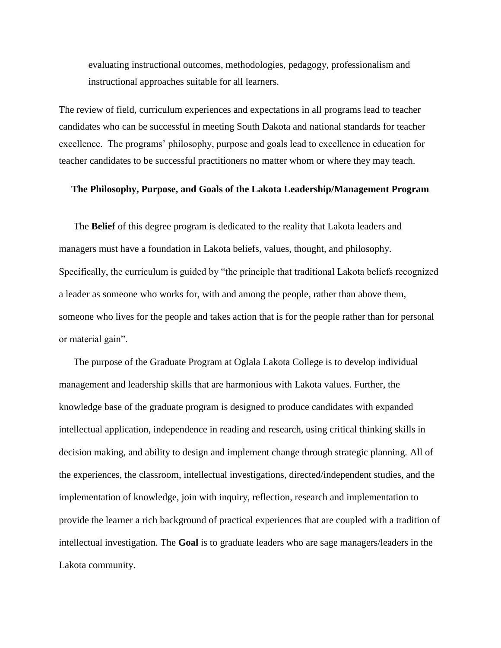evaluating instructional outcomes, methodologies, pedagogy, professionalism and instructional approaches suitable for all learners.

The review of field, curriculum experiences and expectations in all programs lead to teacher candidates who can be successful in meeting South Dakota and national standards for teacher excellence. The programs' philosophy, purpose and goals lead to excellence in education for teacher candidates to be successful practitioners no matter whom or where they may teach.

#### **The Philosophy, Purpose, and Goals of the Lakota Leadership/Management Program**

The **Belief** of this degree program is dedicated to the reality that Lakota leaders and managers must have a foundation in Lakota beliefs, values, thought, and philosophy. Specifically, the curriculum is guided by "the principle that traditional Lakota beliefs recognized a leader as someone who works for, with and among the people, rather than above them, someone who lives for the people and takes action that is for the people rather than for personal or material gain".

The purpose of the Graduate Program at Oglala Lakota College is to develop individual management and leadership skills that are harmonious with Lakota values. Further, the knowledge base of the graduate program is designed to produce candidates with expanded intellectual application, independence in reading and research, using critical thinking skills in decision making, and ability to design and implement change through strategic planning. All of the experiences, the classroom, intellectual investigations, directed/independent studies, and the implementation of knowledge, join with inquiry, reflection, research and implementation to provide the learner a rich background of practical experiences that are coupled with a tradition of intellectual investigation. The **Goal** is to graduate leaders who are sage managers/leaders in the Lakota community.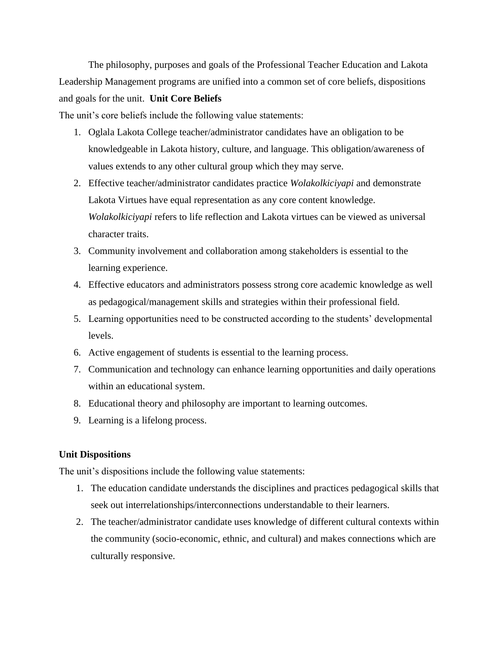The philosophy, purposes and goals of the Professional Teacher Education and Lakota Leadership Management programs are unified into a common set of core beliefs, dispositions and goals for the unit. **Unit Core Beliefs**

The unit's core beliefs include the following value statements:

- 1. Oglala Lakota College teacher/administrator candidates have an obligation to be knowledgeable in Lakota history, culture, and language. This obligation/awareness of values extends to any other cultural group which they may serve.
- 2. Effective teacher/administrator candidates practice *Wolakolkiciyapi* and demonstrate Lakota Virtues have equal representation as any core content knowledge. *Wolakolkiciyapi* refers to life reflection and Lakota virtues can be viewed as universal character traits.
- 3. Community involvement and collaboration among stakeholders is essential to the learning experience.
- 4. Effective educators and administrators possess strong core academic knowledge as well as pedagogical/management skills and strategies within their professional field.
- 5. Learning opportunities need to be constructed according to the students' developmental levels.
- 6. Active engagement of students is essential to the learning process.
- 7. Communication and technology can enhance learning opportunities and daily operations within an educational system.
- 8. Educational theory and philosophy are important to learning outcomes.
- 9. Learning is a lifelong process.

### **Unit Dispositions**

The unit's dispositions include the following value statements:

- 1. The education candidate understands the disciplines and practices pedagogical skills that seek out interrelationships/interconnections understandable to their learners.
- 2. The teacher/administrator candidate uses knowledge of different cultural contexts within the community (socio-economic, ethnic, and cultural) and makes connections which are culturally responsive.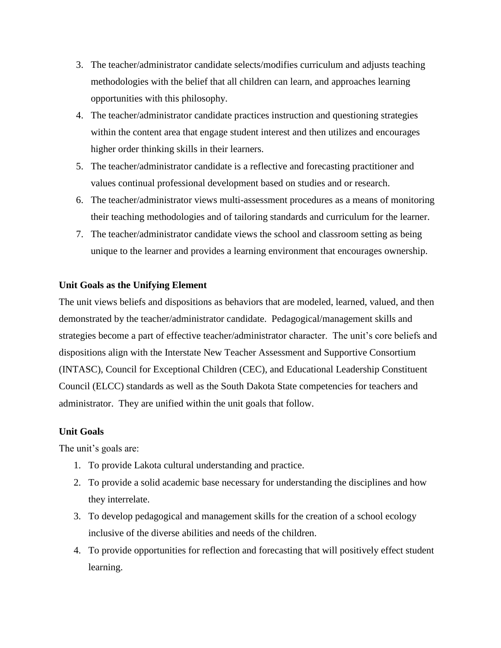- 3. The teacher/administrator candidate selects/modifies curriculum and adjusts teaching methodologies with the belief that all children can learn, and approaches learning opportunities with this philosophy.
- 4. The teacher/administrator candidate practices instruction and questioning strategies within the content area that engage student interest and then utilizes and encourages higher order thinking skills in their learners.
- 5. The teacher/administrator candidate is a reflective and forecasting practitioner and values continual professional development based on studies and or research.
- 6. The teacher/administrator views multi-assessment procedures as a means of monitoring their teaching methodologies and of tailoring standards and curriculum for the learner.
- 7. The teacher/administrator candidate views the school and classroom setting as being unique to the learner and provides a learning environment that encourages ownership.

### **Unit Goals as the Unifying Element**

The unit views beliefs and dispositions as behaviors that are modeled, learned, valued, and then demonstrated by the teacher/administrator candidate. Pedagogical/management skills and strategies become a part of effective teacher/administrator character. The unit's core beliefs and dispositions align with the Interstate New Teacher Assessment and Supportive Consortium (INTASC), Council for Exceptional Children (CEC), and Educational Leadership Constituent Council (ELCC) standards as well as the South Dakota State competencies for teachers and administrator. They are unified within the unit goals that follow.

### **Unit Goals**

The unit's goals are:

- 1. To provide Lakota cultural understanding and practice.
- 2. To provide a solid academic base necessary for understanding the disciplines and how they interrelate.
- 3. To develop pedagogical and management skills for the creation of a school ecology inclusive of the diverse abilities and needs of the children.
- 4. To provide opportunities for reflection and forecasting that will positively effect student learning.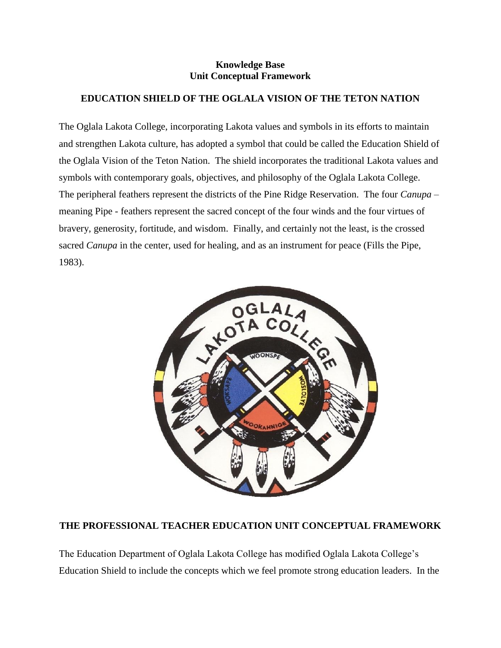### **Knowledge Base Unit Conceptual Framework**

### **EDUCATION SHIELD OF THE OGLALA VISION OF THE TETON NATION**

The Oglala Lakota College, incorporating Lakota values and symbols in its efforts to maintain and strengthen Lakota culture, has adopted a symbol that could be called the Education Shield of the Oglala Vision of the Teton Nation. The shield incorporates the traditional Lakota values and symbols with contemporary goals, objectives, and philosophy of the Oglala Lakota College. The peripheral feathers represent the districts of the Pine Ridge Reservation. The four *Canupa* – meaning Pipe - feathers represent the sacred concept of the four winds and the four virtues of bravery, generosity, fortitude, and wisdom. Finally, and certainly not the least, is the crossed sacred *Canupa* in the center, used for healing, and as an instrument for peace (Fills the Pipe, 1983).



### **THE PROFESSIONAL TEACHER EDUCATION UNIT CONCEPTUAL FRAMEWORK**

The Education Department of Oglala Lakota College has modified Oglala Lakota College's Education Shield to include the concepts which we feel promote strong education leaders. In the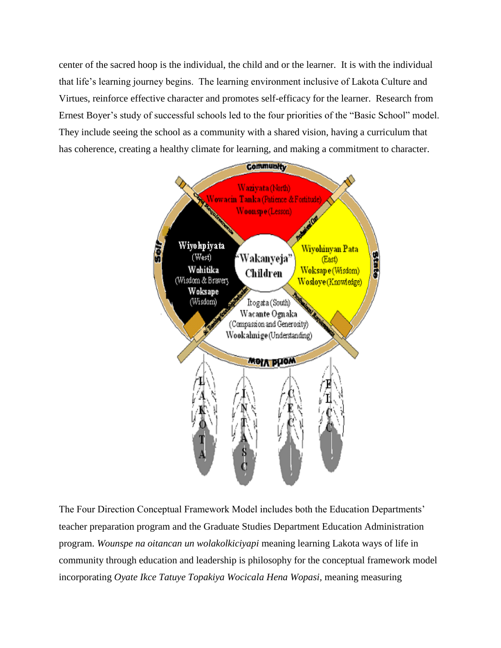center of the sacred hoop is the individual, the child and or the learner. It is with the individual that life's learning journey begins. The learning environment inclusive of Lakota Culture and Virtues, reinforce effective character and promotes self-efficacy for the learner. Research from Ernest Boyer's study of successful schools led to the four priorities of the "Basic School" model. They include seeing the school as a community with a shared vision, having a curriculum that has coherence, creating a healthy climate for learning, and making a commitment to character.



The Four Direction Conceptual Framework Model includes both the Education Departments' teacher preparation program and the Graduate Studies Department Education Administration program. *Wounspe na oitancan un wolakolkiciyapi* meaning learning Lakota ways of life in community through education and leadership is philosophy for the conceptual framework model incorporating *Oyate Ikce Tatuye Topakiya Wocicala Hena Wopasi,* meaning measuring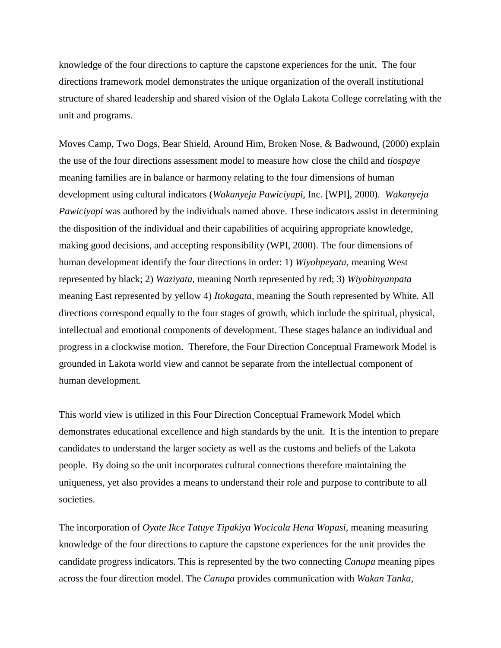knowledge of the four directions to capture the capstone experiences for the unit. The four directions framework model demonstrates the unique organization of the overall institutional structure of shared leadership and shared vision of the Oglala Lakota College correlating with the unit and programs.

Moves Camp, Two Dogs, Bear Shield, Around Him, Broken Nose, & Badwound, (2000) explain the use of the four directions assessment model to measure how close the child and *tiospaye*  meaning families are in balance or harmony relating to the four dimensions of human development using cultural indicators (*Wakanyeja Pawiciyapi*, Inc. [WPI], 2000). *Wakanyeja Pawiciyapi* was authored by the individuals named above. These indicators assist in determining the disposition of the individual and their capabilities of acquiring appropriate knowledge, making good decisions, and accepting responsibility (WPI, 2000). The four dimensions of human development identify the four directions in order: 1) *Wiyohpeyata,* meaning West represented by black; 2) *Waziyata,* meaning North represented by red; 3) *Wiyohinyanpata* meaning East represented by yellow 4) *Itokagata,* meaning the South represented by White. All directions correspond equally to the four stages of growth, which include the spiritual, physical, intellectual and emotional components of development. These stages balance an individual and progress in a clockwise motion. Therefore, the Four Direction Conceptual Framework Model is grounded in Lakota world view and cannot be separate from the intellectual component of human development.

This world view is utilized in this Four Direction Conceptual Framework Model which demonstrates educational excellence and high standards by the unit. It is the intention to prepare candidates to understand the larger society as well as the customs and beliefs of the Lakota people. By doing so the unit incorporates cultural connections therefore maintaining the uniqueness, yet also provides a means to understand their role and purpose to contribute to all societies.

The incorporation of *Oyate Ikce Tatuye Tipakiya Wocicala Hena Wopasi,* meaning measuring knowledge of the four directions to capture the capstone experiences for the unit provides the candidate progress indicators. This is represented by the two connecting *Canupa* meaning pipes across the four direction model. The *Canupa* provides communication with *Wakan Tanka,*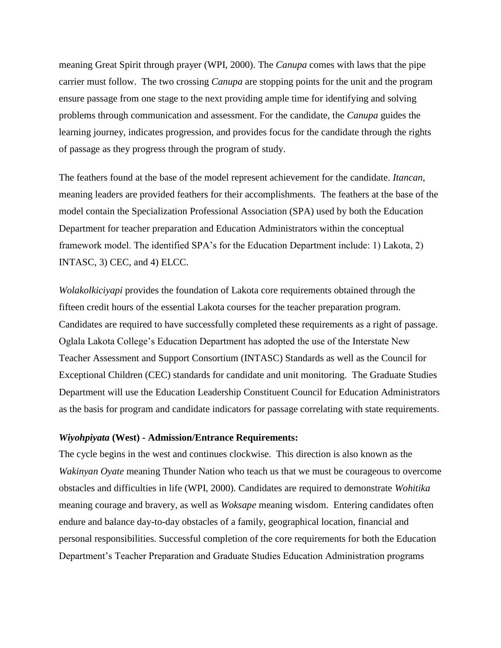meaning Great Spirit through prayer (WPI, 2000). The *Canupa* comes with laws that the pipe carrier must follow. The two crossing *Canupa* are stopping points for the unit and the program ensure passage from one stage to the next providing ample time for identifying and solving problems through communication and assessment. For the candidate, the *Canupa* guides the learning journey, indicates progression, and provides focus for the candidate through the rights of passage as they progress through the program of study.

The feathers found at the base of the model represent achievement for the candidate. *Itancan*, meaning leaders are provided feathers for their accomplishments. The feathers at the base of the model contain the Specialization Professional Association (SPA) used by both the Education Department for teacher preparation and Education Administrators within the conceptual framework model. The identified SPA's for the Education Department include: 1) Lakota, 2) INTASC, 3) CEC, and 4) ELCC.

*Wolakolkiciyapi* provides the foundation of Lakota core requirements obtained through the fifteen credit hours of the essential Lakota courses for the teacher preparation program. Candidates are required to have successfully completed these requirements as a right of passage. Oglala Lakota College's Education Department has adopted the use of the Interstate New Teacher Assessment and Support Consortium (INTASC) Standards as well as the Council for Exceptional Children (CEC) standards for candidate and unit monitoring. The Graduate Studies Department will use the Education Leadership Constituent Council for Education Administrators as the basis for program and candidate indicators for passage correlating with state requirements.

#### *Wiyohpiyata* **(West) - Admission/Entrance Requirements:**

The cycle begins in the west and continues clockwise. This direction is also known as the *Wakinyan Oyate* meaning Thunder Nation who teach us that we must be courageous to overcome obstacles and difficulties in life (WPI, 2000). Candidates are required to demonstrate *Wohitika* meaning courage and bravery, as well as *Woksape* meaning wisdom. Entering candidates often endure and balance day-to-day obstacles of a family, geographical location, financial and personal responsibilities. Successful completion of the core requirements for both the Education Department's Teacher Preparation and Graduate Studies Education Administration programs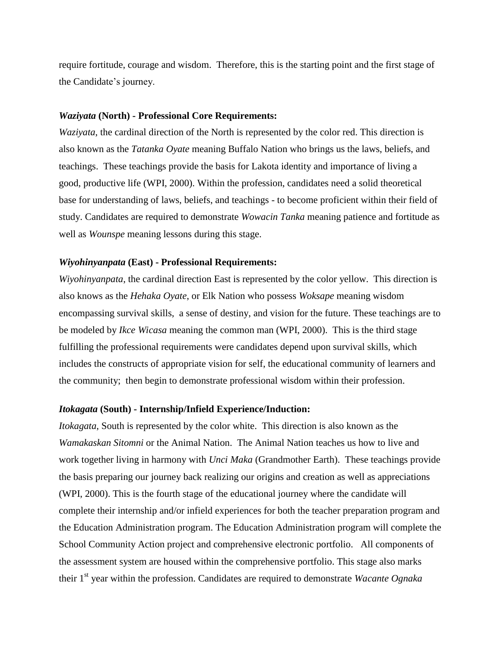require fortitude, courage and wisdom. Therefore, this is the starting point and the first stage of the Candidate's journey.

#### *Waziyata* **(North) - Professional Core Requirements:**

*Waziyata*, the cardinal direction of the North is represented by the color red. This direction is also known as the *Tatanka Oyate* meaning Buffalo Nation who brings us the laws, beliefs, and teachings. These teachings provide the basis for Lakota identity and importance of living a good, productive life (WPI, 2000). Within the profession, candidates need a solid theoretical base for understanding of laws, beliefs, and teachings - to become proficient within their field of study. Candidates are required to demonstrate *Wowacin Tanka* meaning patience and fortitude as well as *Wounspe* meaning lessons during this stage.

#### *Wiyohinyanpata* **(East) - Professional Requirements:**

*Wiyohinyanpata*, the cardinal direction East is represented by the color yellow. This direction is also knows as the *Hehaka Oyate*, or Elk Nation who possess *Woksape* meaning wisdom encompassing survival skills, a sense of destiny, and vision for the future. These teachings are to be modeled by *Ikce Wicasa* meaning the common man (WPI, 2000). This is the third stage fulfilling the professional requirements were candidates depend upon survival skills, which includes the constructs of appropriate vision for self, the educational community of learners and the community; then begin to demonstrate professional wisdom within their profession.

#### *Itokagata* **(South) - Internship/Infield Experience/Induction:**

*Itokagata*, South is represented by the color white. This direction is also known as the *Wamakaskan Sitomni* or the Animal Nation. The Animal Nation teaches us how to live and work together living in harmony with *Unci Maka* (Grandmother Earth). These teachings provide the basis preparing our journey back realizing our origins and creation as well as appreciations (WPI, 2000). This is the fourth stage of the educational journey where the candidate will complete their internship and/or infield experiences for both the teacher preparation program and the Education Administration program. The Education Administration program will complete the School Community Action project and comprehensive electronic portfolio. All components of the assessment system are housed within the comprehensive portfolio. This stage also marks their 1st year within the profession. Candidates are required to demonstrate *Wacante Ognaka*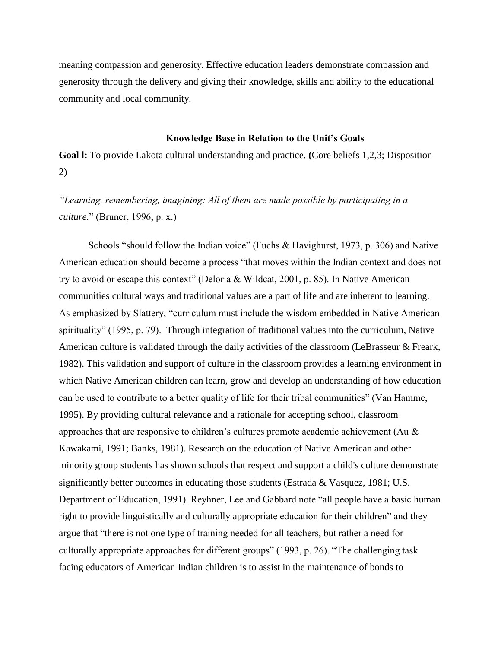meaning compassion and generosity. Effective education leaders demonstrate compassion and generosity through the delivery and giving their knowledge, skills and ability to the educational community and local community.

#### **Knowledge Base in Relation to the Unit's Goals**

**Goal l:** To provide Lakota cultural understanding and practice. **(**Core beliefs 1,2,3; Disposition 2)

*"Learning, remembering, imagining: All of them are made possible by participating in a culture.*" (Bruner, 1996, p. x.)

Schools "should follow the Indian voice" (Fuchs & Havighurst, 1973, p. 306) and Native American education should become a process "that moves within the Indian context and does not try to avoid or escape this context" (Deloria & Wildcat, 2001, p. 85). In Native American communities cultural ways and traditional values are a part of life and are inherent to learning. As emphasized by Slattery, "curriculum must include the wisdom embedded in Native American spirituality" (1995, p. 79). Through integration of traditional values into the curriculum, Native American culture is validated through the daily activities of the classroom (LeBrasseur & Freark, 1982). This validation and support of culture in the classroom provides a learning environment in which Native American children can learn, grow and develop an understanding of how education can be used to contribute to a better quality of life for their tribal communities" (Van Hamme, 1995). By providing cultural relevance and a rationale for accepting school, classroom approaches that are responsive to children's cultures promote academic achievement (Au  $\&$ Kawakami, 1991; Banks, 1981). Research on the education of Native American and other minority group students has shown schools that respect and support a child's culture demonstrate significantly better outcomes in educating those students (Estrada & Vasquez, 1981; U.S. Department of Education, 1991). Reyhner, Lee and Gabbard note "all people have a basic human right to provide linguistically and culturally appropriate education for their children" and they argue that "there is not one type of training needed for all teachers, but rather a need for culturally appropriate approaches for different groups" (1993, p. 26). "The challenging task facing educators of American Indian children is to assist in the maintenance of bonds to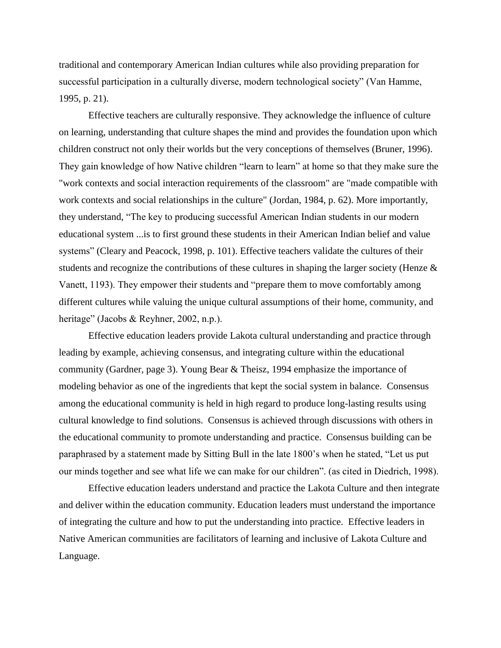traditional and contemporary American Indian cultures while also providing preparation for successful participation in a culturally diverse, modern technological society" (Van Hamme, 1995, p. 21).

Effective teachers are culturally responsive. They acknowledge the influence of culture on learning, understanding that culture shapes the mind and provides the foundation upon which children construct not only their worlds but the very conceptions of themselves (Bruner, 1996). They gain knowledge of how Native children "learn to learn" at home so that they make sure the "work contexts and social interaction requirements of the classroom" are "made compatible with work contexts and social relationships in the culture" (Jordan, 1984, p. 62). More importantly, they understand, "The key to producing successful American Indian students in our modern educational system ...is to first ground these students in their American Indian belief and value systems" (Cleary and Peacock, 1998, p. 101). Effective teachers validate the cultures of their students and recognize the contributions of these cultures in shaping the larger society (Henze & Vanett, 1193). They empower their students and "prepare them to move comfortably among different cultures while valuing the unique cultural assumptions of their home, community, and heritage" (Jacobs & Reyhner, 2002, n.p.).

Effective education leaders provide Lakota cultural understanding and practice through leading by example, achieving consensus, and integrating culture within the educational community (Gardner, page 3). Young Bear & Theisz, 1994 emphasize the importance of modeling behavior as one of the ingredients that kept the social system in balance. Consensus among the educational community is held in high regard to produce long-lasting results using cultural knowledge to find solutions. Consensus is achieved through discussions with others in the educational community to promote understanding and practice. Consensus building can be paraphrased by a statement made by Sitting Bull in the late 1800's when he stated, "Let us put our minds together and see what life we can make for our children". (as cited in Diedrich, 1998).

Effective education leaders understand and practice the Lakota Culture and then integrate and deliver within the education community. Education leaders must understand the importance of integrating the culture and how to put the understanding into practice. Effective leaders in Native American communities are facilitators of learning and inclusive of Lakota Culture and Language.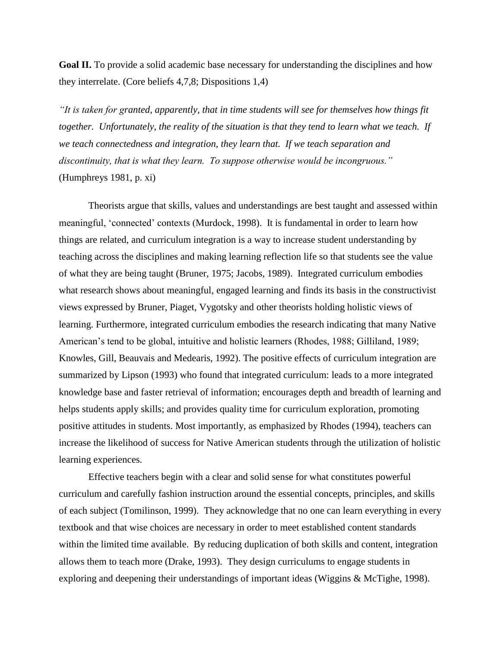**Goal II.** To provide a solid academic base necessary for understanding the disciplines and how they interrelate. (Core beliefs 4,7,8; Dispositions 1,4)

*"It is taken for granted, apparently, that in time students will see for themselves how things fit together. Unfortunately, the reality of the situation is that they tend to learn what we teach. If we teach connectedness and integration, they learn that. If we teach separation and discontinuity, that is what they learn. To suppose otherwise would be incongruous."*  (Humphreys 1981, p. xi)

Theorists argue that skills, values and understandings are best taught and assessed within meaningful, 'connected' contexts (Murdock, 1998). It is fundamental in order to learn how things are related, and curriculum integration is a way to increase student understanding by teaching across the disciplines and making learning reflection life so that students see the value of what they are being taught (Bruner, 1975; Jacobs, 1989). Integrated curriculum embodies what research shows about meaningful, engaged learning and finds its basis in the constructivist views expressed by Bruner, Piaget, Vygotsky and other theorists holding holistic views of learning. Furthermore, integrated curriculum embodies the research indicating that many Native American's tend to be global, intuitive and holistic learners (Rhodes, 1988; Gilliland, 1989; Knowles, Gill, Beauvais and Medearis, 1992). The positive effects of curriculum integration are summarized by Lipson (1993) who found that integrated curriculum: leads to a more integrated knowledge base and faster retrieval of information; encourages depth and breadth of learning and helps students apply skills; and provides quality time for curriculum exploration, promoting positive attitudes in students. Most importantly, as emphasized by Rhodes (1994), teachers can increase the likelihood of success for Native American students through the utilization of holistic learning experiences.

Effective teachers begin with a clear and solid sense for what constitutes powerful curriculum and carefully fashion instruction around the essential concepts, principles, and skills of each subject (Tomilinson, 1999). They acknowledge that no one can learn everything in every textbook and that wise choices are necessary in order to meet established content standards within the limited time available. By reducing duplication of both skills and content, integration allows them to teach more (Drake, 1993). They design curriculums to engage students in exploring and deepening their understandings of important ideas (Wiggins & McTighe, 1998).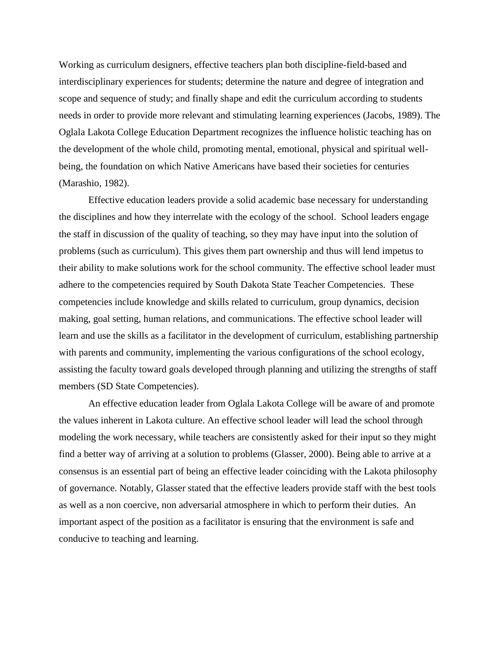Working as curriculum designers, effective teachers plan both discipline-field-based and interdisciplinary experiences for students; determine the nature and degree of integration and scope and sequence of study; and finally shape and edit the curriculum according to students needs in order to provide more relevant and stimulating learning experiences (Jacobs, 1989). The Oglala Lakota College Education Department recognizes the influence holistic teaching has on the development of the whole child, promoting mental, emotional, physical and spiritual wellbeing, the foundation on which Native Americans have based their societies for centuries (Marashio, 1982).

Effective education leaders provide a solid academic base necessary for understanding the disciplines and how they interrelate with the ecology of the school. School leaders engage the staff in discussion of the quality of teaching, so they may have input into the solution of problems (such as curriculum). This gives them part ownership and thus will lend impetus to their ability to make solutions work for the school community. The effective school leader must adhere to the competencies required by South Dakota State Teacher Competencies. These competencies include knowledge and skills related to curriculum, group dynamics, decision making, goal setting, human relations, and communications. The effective school leader will learn and use the skills as a facilitator in the development of curriculum, establishing partnership with parents and community, implementing the various configurations of the school ecology, assisting the faculty toward goals developed through planning and utilizing the strengths of staff members (SD State Competencies).

An effective education leader from Oglala Lakota College will be aware of and promote the values inherent in Lakota culture. An effective school leader will lead the school through modeling the work necessary, while teachers are consistently asked for their input so they might find a better way of arriving at a solution to problems (Glasser, 2000). Being able to arrive at a consensus is an essential part of being an effective leader coinciding with the Lakota philosophy of governance. Notably, Glasser stated that the effective leaders provide staff with the best tools as well as a non coercive, non adversarial atmosphere in which to perform their duties. An important aspect of the position as a facilitator is ensuring that the environment is safe and conducive to teaching and learning.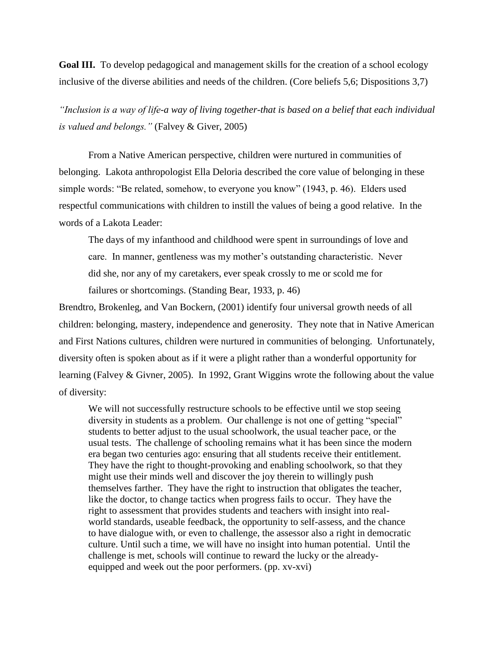**Goal III.** To develop pedagogical and management skills for the creation of a school ecology inclusive of the diverse abilities and needs of the children. (Core beliefs 5,6; Dispositions 3,7)

*"Inclusion is a way of life-a way of living together-that is based on a belief that each individual is valued and belongs."* (Falvey & Giver, 2005)

From a Native American perspective, children were nurtured in communities of belonging. Lakota anthropologist Ella Deloria described the core value of belonging in these simple words: "Be related, somehow, to everyone you know" (1943, p. 46). Elders used respectful communications with children to instill the values of being a good relative. In the words of a Lakota Leader:

The days of my infanthood and childhood were spent in surroundings of love and care. In manner, gentleness was my mother's outstanding characteristic. Never did she, nor any of my caretakers, ever speak crossly to me or scold me for failures or shortcomings. (Standing Bear, 1933, p. 46)

Brendtro, Brokenleg, and Van Bockern, (2001) identify four universal growth needs of all children: belonging, mastery, independence and generosity. They note that in Native American and First Nations cultures, children were nurtured in communities of belonging. Unfortunately, diversity often is spoken about as if it were a plight rather than a wonderful opportunity for learning (Falvey & Givner, 2005). In 1992, Grant Wiggins wrote the following about the value of diversity:

We will not successfully restructure schools to be effective until we stop seeing diversity in students as a problem. Our challenge is not one of getting "special" students to better adjust to the usual schoolwork, the usual teacher pace, or the usual tests. The challenge of schooling remains what it has been since the modern era began two centuries ago: ensuring that all students receive their entitlement. They have the right to thought-provoking and enabling schoolwork, so that they might use their minds well and discover the joy therein to willingly push themselves farther. They have the right to instruction that obligates the teacher, like the doctor, to change tactics when progress fails to occur. They have the right to assessment that provides students and teachers with insight into realworld standards, useable feedback, the opportunity to self-assess, and the chance to have dialogue with, or even to challenge, the assessor also a right in democratic culture. Until such a time, we will have no insight into human potential. Until the challenge is met, schools will continue to reward the lucky or the alreadyequipped and week out the poor performers. (pp. xv-xvi)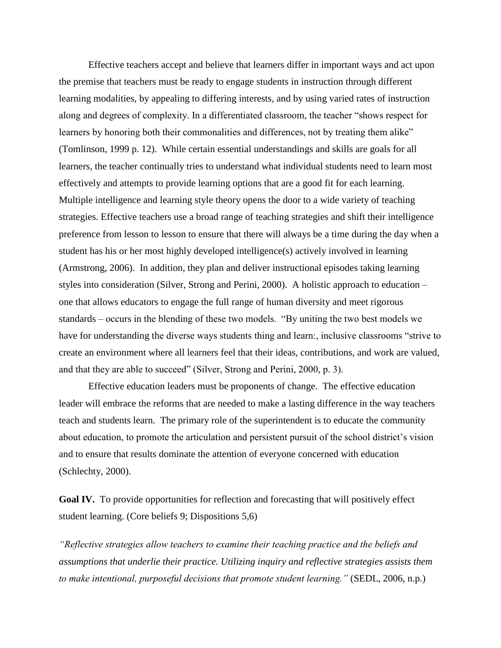Effective teachers accept and believe that learners differ in important ways and act upon the premise that teachers must be ready to engage students in instruction through different learning modalities, by appealing to differing interests, and by using varied rates of instruction along and degrees of complexity. In a differentiated classroom, the teacher "shows respect for learners by honoring both their commonalities and differences, not by treating them alike" (Tomlinson, 1999 p. 12). While certain essential understandings and skills are goals for all learners, the teacher continually tries to understand what individual students need to learn most effectively and attempts to provide learning options that are a good fit for each learning. Multiple intelligence and learning style theory opens the door to a wide variety of teaching strategies. Effective teachers use a broad range of teaching strategies and shift their intelligence preference from lesson to lesson to ensure that there will always be a time during the day when a student has his or her most highly developed intelligence(s) actively involved in learning (Armstrong, 2006). In addition, they plan and deliver instructional episodes taking learning styles into consideration (Silver, Strong and Perini, 2000). A holistic approach to education – one that allows educators to engage the full range of human diversity and meet rigorous standards – occurs in the blending of these two models. "By uniting the two best models we have for understanding the diverse ways students thing and learn:, inclusive classrooms "strive to create an environment where all learners feel that their ideas, contributions, and work are valued, and that they are able to succeed" (Silver, Strong and Perini, 2000, p. 3).

Effective education leaders must be proponents of change. The effective education leader will embrace the reforms that are needed to make a lasting difference in the way teachers teach and students learn. The primary role of the superintendent is to educate the community about education, to promote the articulation and persistent pursuit of the school district's vision and to ensure that results dominate the attention of everyone concerned with education (Schlechty, 2000).

Goal IV. To provide opportunities for reflection and forecasting that will positively effect student learning. (Core beliefs 9; Dispositions 5,6)

*"Reflective strategies allow teachers to examine their teaching practice and the beliefs and assumptions that underlie their practice. Utilizing inquiry and reflective strategies assists them to make intentional, purposeful decisions that promote student learning."* (SEDL, 2006, n.p.)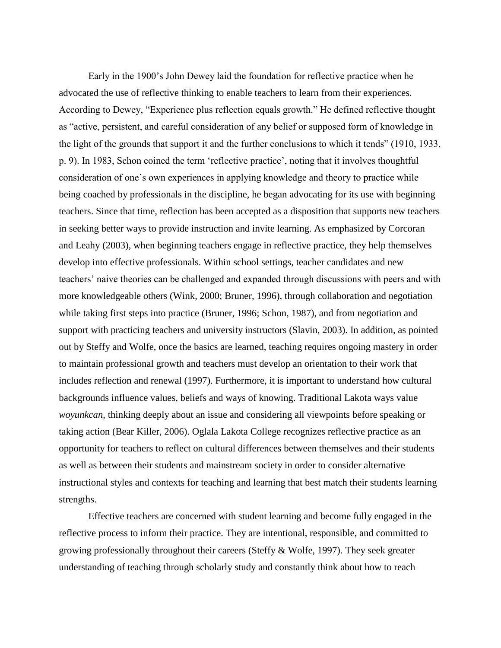Early in the 1900's John Dewey laid the foundation for reflective practice when he advocated the use of reflective thinking to enable teachers to learn from their experiences. According to Dewey, "Experience plus reflection equals growth." He defined reflective thought as "active, persistent, and careful consideration of any belief or supposed form of knowledge in the light of the grounds that support it and the further conclusions to which it tends" (1910, 1933, p. 9). In 1983, Schon coined the term 'reflective practice', noting that it involves thoughtful consideration of one's own experiences in applying knowledge and theory to practice while being coached by professionals in the discipline, he began advocating for its use with beginning teachers. Since that time, reflection has been accepted as a disposition that supports new teachers in seeking better ways to provide instruction and invite learning. As emphasized by Corcoran and Leahy (2003), when beginning teachers engage in reflective practice, they help themselves develop into effective professionals. Within school settings, teacher candidates and new teachers' naive theories can be challenged and expanded through discussions with peers and with more knowledgeable others (Wink, 2000; Bruner, 1996), through collaboration and negotiation while taking first steps into practice (Bruner, 1996; Schon, 1987), and from negotiation and support with practicing teachers and university instructors (Slavin, 2003). In addition, as pointed out by Steffy and Wolfe, once the basics are learned, teaching requires ongoing mastery in order to maintain professional growth and teachers must develop an orientation to their work that includes reflection and renewal (1997). Furthermore, it is important to understand how cultural backgrounds influence values, beliefs and ways of knowing. Traditional Lakota ways value *woyunkcan*, thinking deeply about an issue and considering all viewpoints before speaking or taking action (Bear Killer, 2006). Oglala Lakota College recognizes reflective practice as an opportunity for teachers to reflect on cultural differences between themselves and their students as well as between their students and mainstream society in order to consider alternative instructional styles and contexts for teaching and learning that best match their students learning strengths.

Effective teachers are concerned with student learning and become fully engaged in the reflective process to inform their practice. They are intentional, responsible, and committed to growing professionally throughout their careers (Steffy & Wolfe, 1997). They seek greater understanding of teaching through scholarly study and constantly think about how to reach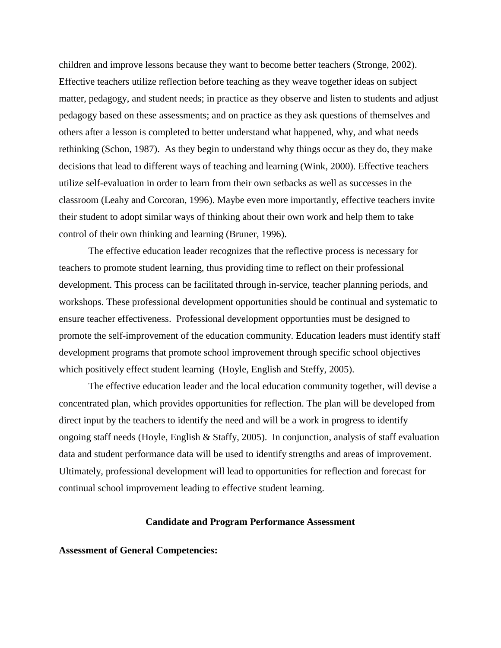children and improve lessons because they want to become better teachers (Stronge, 2002). Effective teachers utilize reflection before teaching as they weave together ideas on subject matter, pedagogy, and student needs; in practice as they observe and listen to students and adjust pedagogy based on these assessments; and on practice as they ask questions of themselves and others after a lesson is completed to better understand what happened, why, and what needs rethinking (Schon, 1987). As they begin to understand why things occur as they do, they make decisions that lead to different ways of teaching and learning (Wink, 2000). Effective teachers utilize self-evaluation in order to learn from their own setbacks as well as successes in the classroom (Leahy and Corcoran, 1996). Maybe even more importantly, effective teachers invite their student to adopt similar ways of thinking about their own work and help them to take control of their own thinking and learning (Bruner, 1996).

The effective education leader recognizes that the reflective process is necessary for teachers to promote student learning, thus providing time to reflect on their professional development. This process can be facilitated through in-service, teacher planning periods, and workshops. These professional development opportunities should be continual and systematic to ensure teacher effectiveness. Professional development opportunties must be designed to promote the self-improvement of the education community. Education leaders must identify staff development programs that promote school improvement through specific school objectives which positively effect student learning (Hoyle, English and Steffy, 2005).

The effective education leader and the local education community together, will devise a concentrated plan, which provides opportunities for reflection. The plan will be developed from direct input by the teachers to identify the need and will be a work in progress to identify ongoing staff needs (Hoyle, English & Staffy, 2005). In conjunction, analysis of staff evaluation data and student performance data will be used to identify strengths and areas of improvement. Ultimately, professional development will lead to opportunities for reflection and forecast for continual school improvement leading to effective student learning.

### **Candidate and Program Performance Assessment**

**Assessment of General Competencies:**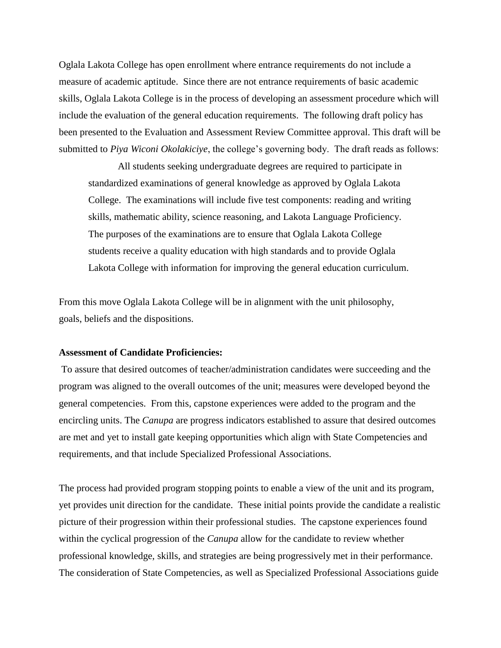Oglala Lakota College has open enrollment where entrance requirements do not include a measure of academic aptitude. Since there are not entrance requirements of basic academic skills, Oglala Lakota College is in the process of developing an assessment procedure which will include the evaluation of the general education requirements. The following draft policy has been presented to the Evaluation and Assessment Review Committee approval. This draft will be submitted to *Piya Wiconi Okolakiciye*, the college's governing body. The draft reads as follows:

All students seeking undergraduate degrees are required to participate in standardized examinations of general knowledge as approved by Oglala Lakota College. The examinations will include five test components: reading and writing skills, mathematic ability, science reasoning, and Lakota Language Proficiency. The purposes of the examinations are to ensure that Oglala Lakota College students receive a quality education with high standards and to provide Oglala Lakota College with information for improving the general education curriculum.

From this move Oglala Lakota College will be in alignment with the unit philosophy, goals, beliefs and the dispositions.

#### **Assessment of Candidate Proficiencies:**

To assure that desired outcomes of teacher/administration candidates were succeeding and the program was aligned to the overall outcomes of the unit; measures were developed beyond the general competencies. From this, capstone experiences were added to the program and the encircling units. The *Canupa* are progress indicators established to assure that desired outcomes are met and yet to install gate keeping opportunities which align with State Competencies and requirements, and that include Specialized Professional Associations.

The process had provided program stopping points to enable a view of the unit and its program, yet provides unit direction for the candidate. These initial points provide the candidate a realistic picture of their progression within their professional studies. The capstone experiences found within the cyclical progression of the *Canupa* allow for the candidate to review whether professional knowledge, skills, and strategies are being progressively met in their performance. The consideration of State Competencies, as well as Specialized Professional Associations guide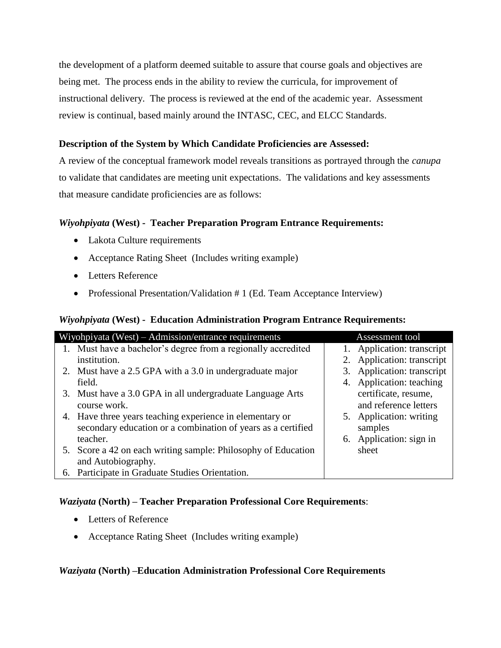the development of a platform deemed suitable to assure that course goals and objectives are being met. The process ends in the ability to review the curricula, for improvement of instructional delivery. The process is reviewed at the end of the academic year. Assessment review is continual, based mainly around the INTASC, CEC, and ELCC Standards.

### **Description of the System by Which Candidate Proficiencies are Assessed:**

A review of the conceptual framework model reveals transitions as portrayed through the *canupa* to validate that candidates are meeting unit expectations. The validations and key assessments that measure candidate proficiencies are as follows:

### *Wiyohpiyata* **(West) - Teacher Preparation Program Entrance Requirements:**

- Lakota Culture requirements
- Acceptance Rating Sheet (Includes writing example)
- Letters Reference
- Professional Presentation/Validation # 1 (Ed. Team Acceptance Interview)

### *Wiyohpiyata* **(West) - Education Administration Program Entrance Requirements:**

| Wiyohpiyata (West) – Admission/entrance requirements          | Assessment tool            |
|---------------------------------------------------------------|----------------------------|
| Must have a bachelor's degree from a regionally accredited    | 1. Application: transcript |
| institution.                                                  | 2. Application: transcript |
| 2. Must have a 2.5 GPA with a 3.0 in undergraduate major      | 3. Application: transcript |
| field.                                                        | 4. Application: teaching   |
| 3. Must have a 3.0 GPA in all undergraduate Language Arts     | certificate, resume,       |
| course work.                                                  | and reference letters      |
| 4. Have three years teaching experience in elementary or      | 5. Application: writing    |
| secondary education or a combination of years as a certified  | samples                    |
| teacher.                                                      | 6. Application: sign in    |
| 5. Score a 42 on each writing sample: Philosophy of Education | sheet                      |
| and Autobiography.                                            |                            |
| 6. Participate in Graduate Studies Orientation.               |                            |

### *Waziyata* **(North) – Teacher Preparation Professional Core Requirements**:

- Letters of Reference
- Acceptance Rating Sheet (Includes writing example)

#### *Waziyata* **(North) –Education Administration Professional Core Requirements**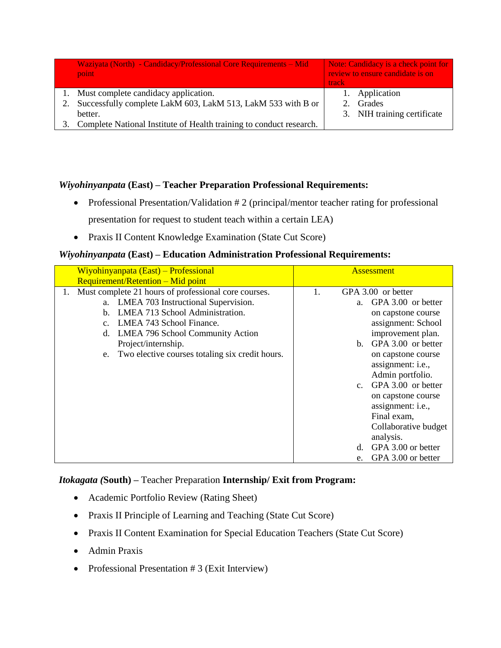| Waziyata (North) - Candidacy/Professional Core Requirements – Mid<br>point | Note: Candidacy is a check point for<br>review to ensure candidate is on<br>track |
|----------------------------------------------------------------------------|-----------------------------------------------------------------------------------|
| Must complete candidacy application.                                       | 1. Application                                                                    |
| Successfully complete LakM 603, LakM 513, LakM 533 with B or               | Grades                                                                            |
| better.                                                                    | 3. NIH training certificate                                                       |
| Complete National Institute of Health training to conduct research.        |                                                                                   |

### *Wiyohinyanpata* **(East) – Teacher Preparation Professional Requirements:**

- Professional Presentation/Validation # 2 (principal/mentor teacher rating for professional presentation for request to student teach within a certain LEA)
- Praxis II Content Knowledge Examination (State Cut Score)

### *Wiyohinyanpata* **(East) – Education Administration Professional Requirements:**

| Wiyohinyanpata (East) – Professional                                                                                                                                                                                                                                                                                                                                 | <b>Assessment</b>                                                                                                                                                                                                                                                                                                                                                                     |
|----------------------------------------------------------------------------------------------------------------------------------------------------------------------------------------------------------------------------------------------------------------------------------------------------------------------------------------------------------------------|---------------------------------------------------------------------------------------------------------------------------------------------------------------------------------------------------------------------------------------------------------------------------------------------------------------------------------------------------------------------------------------|
| <b>Requirement/Retention – Mid point</b><br>Must complete 21 hours of professional core courses.<br>1.<br>a. LMEA 703 Instructional Supervision.<br>LMEA 713 School Administration.<br>$h_{\cdot}$<br>LMEA 743 School Finance.<br>$\mathbf{c}$ .<br>d. LMEA 796 School Community Action<br>Project/internship.<br>e. Two elective courses totaling six credit hours. | GPA 3.00 or better<br>1.<br>GPA 3.00 or better<br>a.<br>on capstone course<br>assignment: School<br>improvement plan.<br>b. GPA 3.00 or better<br>on capstone course<br>assignment: <i>i.e.</i> ,<br>Admin portfolio.<br>GPA 3.00 or better<br>$C_{\cdot}$<br>on capstone course<br>assignment: i.e.,<br>Final exam,<br>Collaborative budget<br>analysis.<br>GPA 3.00 or better<br>d. |
|                                                                                                                                                                                                                                                                                                                                                                      | GPA 3.00 or better<br>e.                                                                                                                                                                                                                                                                                                                                                              |

### *Itokagata (***South) –** Teacher Preparation **Internship/ Exit from Program:**

- Academic Portfolio Review (Rating Sheet)
- Praxis II Principle of Learning and Teaching (State Cut Score)
- Praxis II Content Examination for Special Education Teachers (State Cut Score)
- Admin Praxis
- Professional Presentation # 3 (Exit Interview)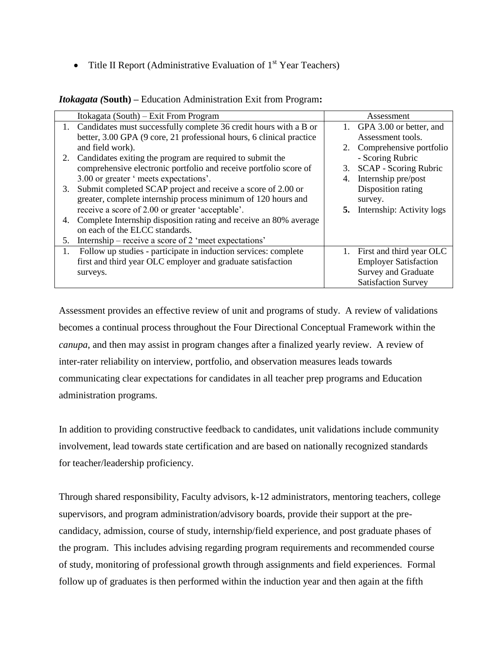• Title II Report (Administrative Evaluation of  $1<sup>st</sup>$  Year Teachers)

| <b>Itokagata (South)</b> – Education Administration Exit from Program: |
|------------------------------------------------------------------------|
|------------------------------------------------------------------------|

|    | Itokagata (South) – Exit From Program                                |    | Assessment                          |
|----|----------------------------------------------------------------------|----|-------------------------------------|
|    | 1. Candidates must successfully complete 36 credit hours with a B or |    | 1. GPA 3.00 or better, and          |
|    | better, 3.00 GPA (9 core, 21 professional hours, 6 clinical practice |    | Assessment tools.                   |
|    | and field work).                                                     |    | 2. Comprehensive portfolio          |
| 2. | Candidates exiting the program are required to submit the            |    | - Scoring Rubric                    |
|    | comprehensive electronic portfolio and receive portfolio score of    | 3. | <b>SCAP - Scoring Rubric</b>        |
|    | 3.00 or greater 'meets expectations'.                                | 4. | Internship pre/post                 |
| 3. | Submit completed SCAP project and receive a score of 2.00 or         |    | Disposition rating                  |
|    | greater, complete internship process minimum of 120 hours and        |    | survey.                             |
|    | receive a score of 2.00 or greater 'acceptable'.                     |    | <b>5.</b> Internship: Activity logs |
| 4. | Complete Internship disposition rating and receive an 80% average    |    |                                     |
|    | on each of the ELCC standards.                                       |    |                                     |
| 5. | Internship – receive a score of 2 'meet expectations'                |    |                                     |
| 1. | Follow up studies - participate in induction services: complete      | 1. | First and third year OLC            |
|    | first and third year OLC employer and graduate satisfaction          |    | <b>Employer Satisfaction</b>        |
|    | surveys.                                                             |    | Survey and Graduate                 |
|    |                                                                      |    | <b>Satisfaction Survey</b>          |

Assessment provides an effective review of unit and programs of study. A review of validations becomes a continual process throughout the Four Directional Conceptual Framework within the *canupa*, and then may assist in program changes after a finalized yearly review. A review of inter-rater reliability on interview, portfolio, and observation measures leads towards communicating clear expectations for candidates in all teacher prep programs and Education administration programs.

In addition to providing constructive feedback to candidates, unit validations include community involvement, lead towards state certification and are based on nationally recognized standards for teacher/leadership proficiency.

Through shared responsibility, Faculty advisors, k-12 administrators, mentoring teachers, college supervisors, and program administration/advisory boards, provide their support at the precandidacy, admission, course of study, internship/field experience, and post graduate phases of the program. This includes advising regarding program requirements and recommended course of study, monitoring of professional growth through assignments and field experiences. Formal follow up of graduates is then performed within the induction year and then again at the fifth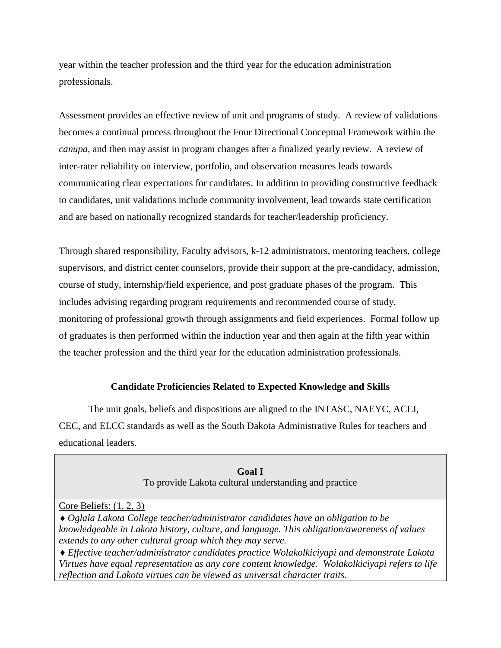year within the teacher profession and the third year for the education administration professionals.

Assessment provides an effective review of unit and programs of study. A review of validations becomes a continual process throughout the Four Directional Conceptual Framework within the *canupa*, and then may assist in program changes after a finalized yearly review. A review of inter-rater reliability on interview, portfolio, and observation measures leads towards communicating clear expectations for candidates. In addition to providing constructive feedback to candidates, unit validations include community involvement, lead towards state certification and are based on nationally recognized standards for teacher/leadership proficiency.

Through shared responsibility, Faculty advisors, k-12 administrators, mentoring teachers, college supervisors, and district center counselors, provide their support at the pre-candidacy, admission, course of study, internship/field experience, and post graduate phases of the program. This includes advising regarding program requirements and recommended course of study, monitoring of professional growth through assignments and field experiences. Formal follow up of graduates is then performed within the induction year and then again at the fifth year within the teacher profession and the third year for the education administration professionals.

### **Candidate Proficiencies Related to Expected Knowledge and Skills**

The unit goals, beliefs and dispositions are aligned to the INTASC, NAEYC, ACEI, CEC, and ELCC standards as well as the South Dakota Administrative Rules for teachers and educational leaders.

> **Goal I** To provide Lakota cultural understanding and practice

#### Core Beliefs: (1, 2, 3)

*Oglala Lakota College teacher/administrator candidates have an obligation to be knowledgeable in Lakota history, culture, and language. This obligation/awareness of values extends to any other cultural group which they may serve.*

*Effective teacher/administrator candidates practice Wolakolkiciyapi and demonstrate Lakota Virtues have equal representation as any core content knowledge. Wolakolkiciyapi refers to life reflection and Lakota virtues can be viewed as universal character traits.*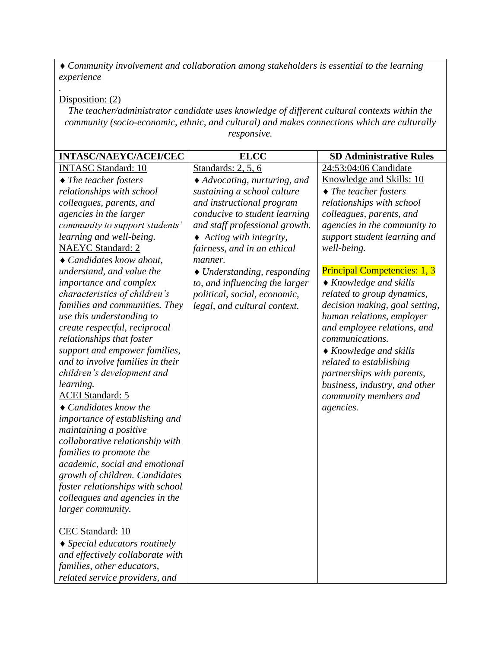*Community involvement and collaboration among stakeholders is essential to the learning experience*

Disposition: (2)

*.*

*The teacher/administrator candidate uses knowledge of different cultural contexts within the community (socio-economic, ethnic, and cultural) and makes connections which are culturally responsive.*

| <b>INTASC/NAEYC/ACEI/CEC</b>                                                | <b>ELCC</b>                               | <b>SD Administrative Rules</b>      |
|-----------------------------------------------------------------------------|-------------------------------------------|-------------------------------------|
| <b>INTASC Standard: 10</b>                                                  | Standards: $2, 5, 6$                      | 24:53:04:06 Candidate               |
| $\blacklozenge$ The teacher fosters                                         | ◆ Advocating, nurturing, and              | Knowledge and Skills: 10            |
| relationships with school                                                   | sustaining a school culture               | $\blacklozenge$ The teacher fosters |
| colleagues, parents, and                                                    | and instructional program                 | relationships with school           |
| agencies in the larger                                                      | conducive to student learning             | colleagues, parents, and            |
| community to support students'                                              | and staff professional growth.            | agencies in the community to        |
| learning and well-being.                                                    | $\triangle$ Acting with integrity,        | support student learning and        |
| <b>NAEYC</b> Standard: 2                                                    | fairness, and in an ethical               | well-being.                         |
| $\triangle$ Candidates know about,                                          | manner.                                   |                                     |
| understand, and value the                                                   | $\blacklozenge$ Understanding, responding | <b>Principal Competencies: 1, 3</b> |
| importance and complex                                                      | to, and influencing the larger            | $\triangle$ Knowledge and skills    |
| <i>characteristics of children's</i>                                        | political, social, economic,              | related to group dynamics,          |
| families and communities. They                                              | legal, and cultural context.              | decision making, goal setting,      |
| use this understanding to                                                   |                                           | human relations, employer           |
| create respectful, reciprocal                                               |                                           | and employee relations, and         |
| relationships that foster                                                   |                                           | communications.                     |
| support and empower families,                                               |                                           | $\triangle$ Knowledge and skills    |
| and to involve families in their                                            |                                           | related to establishing             |
| children's development and                                                  |                                           | partnerships with parents,          |
| learning.                                                                   |                                           | business, industry, and other       |
| <b>ACEI Standard: 5</b>                                                     |                                           | community members and               |
| $\triangle$ Candidates know the                                             |                                           | agencies.                           |
| importance of establishing and                                              |                                           |                                     |
| maintaining a positive                                                      |                                           |                                     |
| collaborative relationship with                                             |                                           |                                     |
| families to promote the                                                     |                                           |                                     |
| academic, social and emotional                                              |                                           |                                     |
| growth of children. Candidates                                              |                                           |                                     |
| foster relationships with school                                            |                                           |                                     |
| colleagues and agencies in the                                              |                                           |                                     |
| larger community.                                                           |                                           |                                     |
| CEC Standard: 10                                                            |                                           |                                     |
|                                                                             |                                           |                                     |
| $\triangle$ Special educators routinely<br>and effectively collaborate with |                                           |                                     |
| families, other educators,                                                  |                                           |                                     |
|                                                                             |                                           |                                     |
| related service providers, and                                              |                                           |                                     |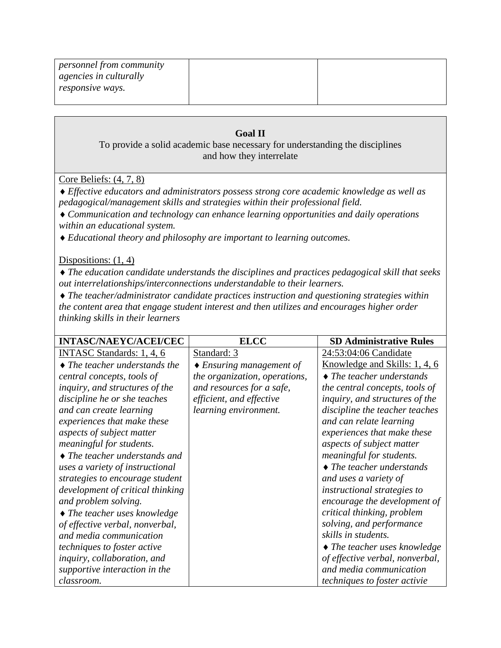| <i>personnel from community</i> |  |
|---------------------------------|--|
| <i>agencies in culturally</i>   |  |
| responsive ways.                |  |
|                                 |  |

### **Goal II**

To provide a solid academic base necessary for understanding the disciplines and how they interrelate

### Core Beliefs: (4, 7, 8)

*Effective educators and administrators possess strong core academic knowledge as well as pedagogical/management skills and strategies within their professional field.*

*Communication and technology can enhance learning opportunities and daily operations within an educational system.* 

*Educational theory and philosophy are important to learning outcomes.*

### Dispositions:  $(1, 4)$

*The education candidate understands the disciplines and practices pedagogical skill that seeks out interrelationships/interconnections understandable to their learners.*

*The teacher/administrator candidate practices instruction and questioning strategies within the content area that engage student interest and then utilizes and encourages higher order thinking skills in their learners*

| <b>INTASC/NAEYC/ACEI/CEC</b>                | <b>ELCC</b>                        | <b>SD Administrative Rules</b>             |
|---------------------------------------------|------------------------------------|--------------------------------------------|
| <b>INTASC Standards: 1, 4, 6</b>            | Standard: 3                        | 24:53:04:06 Candidate                      |
| $\blacklozenge$ The teacher understands the | $\triangle$ Ensuring management of | Knowledge and Skills: 1, 4, 6              |
| central concepts, tools of                  | the organization, operations,      | $\triangle$ The teacher understands        |
| inquiry, and structures of the              | and resources for a safe,          | the central concepts, tools of             |
| discipline he or she teaches                | efficient, and effective           | <i>inquiry, and structures of the</i>      |
| and can create learning                     | learning environment.              | discipline the teacher teaches             |
| experiences that make these                 |                                    | and can relate learning                    |
| aspects of subject matter                   |                                    | experiences that make these                |
| meaningful for students.                    |                                    | aspects of subject matter                  |
| $\blacklozenge$ The teacher understands and |                                    | meaningful for students.                   |
| uses a variety of instructional             |                                    | $\triangle$ The teacher understands        |
| strategies to encourage student             |                                    | and uses a variety of                      |
| development of critical thinking            |                                    | instructional strategies to                |
| and problem solving.                        |                                    | encourage the development of               |
| $\blacklozenge$ The teacher uses knowledge  |                                    | critical thinking, problem                 |
| of effective verbal, nonverbal,             |                                    | solving, and performance                   |
| and media communication                     |                                    | skills in students.                        |
| <i>techniques to foster active</i>          |                                    | $\blacklozenge$ The teacher uses knowledge |
| inquiry, collaboration, and                 |                                    | of effective verbal, nonverbal,            |
| supportive interaction in the               |                                    | and media communication                    |
| classroom.                                  |                                    | <i>techniques to foster activie</i>        |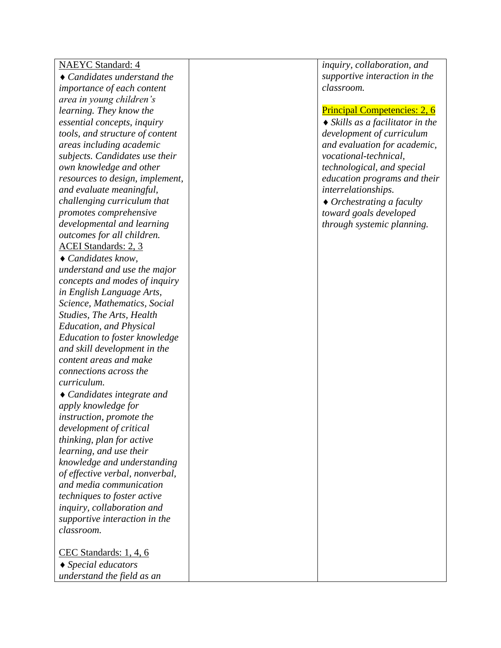| <b>NAEYC</b> Standard: 4              | inquiry, collaboration, and                    |
|---------------------------------------|------------------------------------------------|
| $\triangle$ Candidates understand the | supportive interaction in the                  |
| importance of each content            | classroom.                                     |
| area in young children's              |                                                |
| learning. They know the               | <b>Principal Competencies: 2, 6</b>            |
| essential concepts, inquiry           | $\blacklozenge$ Skills as a facilitator in the |
| tools, and structure of content       | development of curriculum                      |
| areas including academic              | and evaluation for academic,                   |
| subjects. Candidates use their        | vocational-technical,                          |
| own knowledge and other               | technological, and special                     |
| resources to design, implement,       | education programs and their                   |
| and evaluate meaningful,              | interrelationships.                            |
| challenging curriculum that           | $\triangle$ Orchestrating a faculty            |
| promotes comprehensive                | toward goals developed                         |
| developmental and learning            | through systemic planning.                     |
| outcomes for all children.            |                                                |
| <b>ACEI</b> Standards: 2, 3           |                                                |
| ◆ Candidates know,                    |                                                |
| understand and use the major          |                                                |
| concepts and modes of inquiry         |                                                |
| in English Language Arts,             |                                                |
| Science, Mathematics, Social          |                                                |
| Studies, The Arts, Health             |                                                |
| <b>Education, and Physical</b>        |                                                |
| Education to foster knowledge         |                                                |
| and skill development in the          |                                                |
| content areas and make                |                                                |
| connections across the                |                                                |
| curriculum.                           |                                                |
| $\triangle$ Candidates integrate and  |                                                |
| apply knowledge for                   |                                                |
| <i>instruction, promote the</i>       |                                                |
| development of critical               |                                                |
| thinking, plan for active             |                                                |
| learning, and use their               |                                                |
| knowledge and understanding           |                                                |
| of effective verbal, nonverbal,       |                                                |
| and media communication               |                                                |
| techniques to foster active           |                                                |
| inquiry, collaboration and            |                                                |
| supportive interaction in the         |                                                |
| classroom.                            |                                                |
| CEC Standards: 1, 4, 6                |                                                |
| $\triangle$ Special educators         |                                                |
| understand the field as an            |                                                |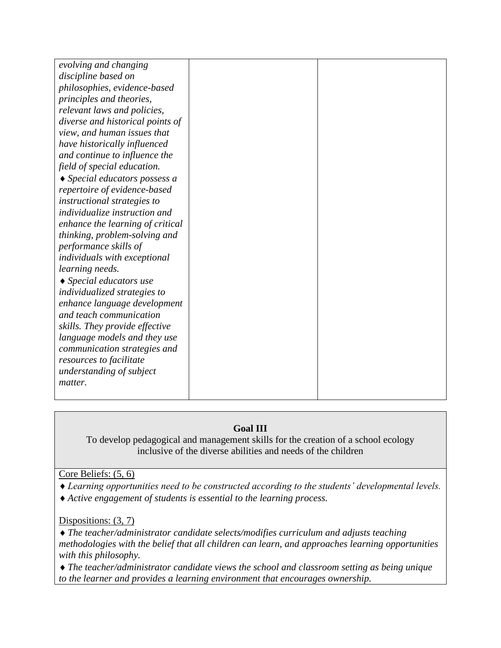| evolving and changing                   |  |
|-----------------------------------------|--|
| discipline based on                     |  |
| philosophies, evidence-based            |  |
| principles and theories,                |  |
| relevant laws and policies,             |  |
| diverse and historical points of        |  |
| view, and human issues that             |  |
| have historically influenced            |  |
| and continue to influence the           |  |
| field of special education.             |  |
| $\triangle$ Special educators possess a |  |
| repertoire of evidence-based            |  |
| instructional strategies to             |  |
| individualize instruction and           |  |
| enhance the learning of critical        |  |
| thinking, problem-solving and           |  |
| performance skills of                   |  |
| individuals with exceptional            |  |
| learning needs.                         |  |
| $\triangle$ Special educators use       |  |
| individualized strategies to            |  |
| enhance language development            |  |
| and teach communication                 |  |
| skills. They provide effective          |  |
| language models and they use            |  |
| communication strategies and            |  |
| resources to facilitate                 |  |
| understanding of subject                |  |
| matter.                                 |  |
|                                         |  |
|                                         |  |

### **Goal III**

To develop pedagogical and management skills for the creation of a school ecology inclusive of the diverse abilities and needs of the children

Core Beliefs: (5, 6)

- *Learning opportunities need to be constructed according to the students' developmental levels.*
- *Active engagement of students is essential to the learning process.*

Dispositions: (3, 7)

*The teacher/administrator candidate selects/modifies curriculum and adjusts teaching methodologies with the belief that all children can learn, and approaches learning opportunities with this philosophy.*

*The teacher/administrator candidate views the school and classroom setting as being unique to the learner and provides a learning environment that encourages ownership.*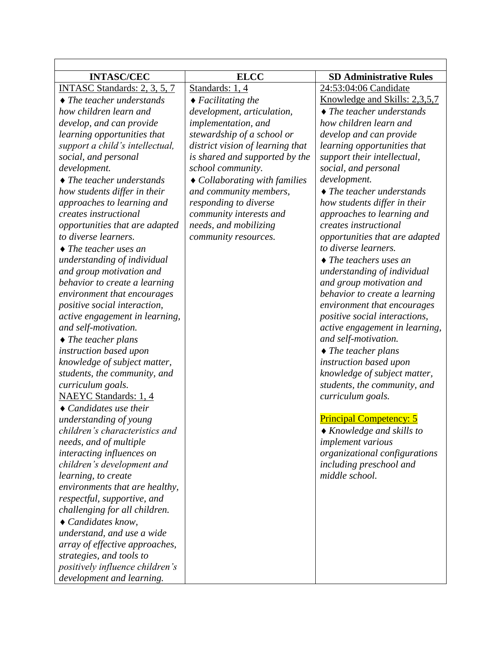| <b>INTASC/CEC</b>                       | <b>ELCC</b>                           | <b>SD Administrative Rules</b>       |
|-----------------------------------------|---------------------------------------|--------------------------------------|
| INTASC Standards: 2, 3, 5, 7            | Standards: 1, 4                       | 24:53:04:06 Candidate                |
| $\triangle$ The teacher understands     | $\blacklozenge$ Facilitating the      | Knowledge and Skills: 2,3,5,7        |
| how children learn and                  | development, articulation,            | $\triangle$ The teacher understands  |
| develop, and can provide                | implementation, and                   | how children learn and               |
| learning opportunities that             | stewardship of a school or            | develop and can provide              |
| support a child's intellectual,         | district vision of learning that      | learning opportunities that          |
| social, and personal                    | is shared and supported by the        | support their intellectual,          |
| development.                            | school community.                     | social, and personal                 |
| $\blacklozenge$ The teacher understands | $\bullet$ Collaborating with families | development.                         |
| how students differ in their            | and community members,                | $\triangle$ The teacher understands  |
| approaches to learning and              | responding to diverse                 | how students differ in their         |
| creates instructional                   | community interests and               | approaches to learning and           |
| opportunities that are adapted          | needs, and mobilizing                 | creates instructional                |
| to diverse learners.                    | community resources.                  | opportunities that are adapted       |
| $\blacklozenge$ The teacher uses an     |                                       | to diverse learners.                 |
| understanding of individual             |                                       | $\blacklozenge$ The teachers uses an |
| and group motivation and                |                                       | understanding of individual          |
| behavior to create a learning           |                                       | and group motivation and             |
| environment that encourages             |                                       | behavior to create a learning        |
| positive social interaction,            |                                       | environment that encourages          |
| active engagement in learning,          |                                       | positive social interactions,        |
| and self-motivation.                    |                                       | active engagement in learning,       |
| $\blacklozenge$ The teacher plans       |                                       | and self-motivation.                 |
| instruction based upon                  |                                       | $\blacklozenge$ The teacher plans    |
| knowledge of subject matter,            |                                       | instruction based upon               |
| students, the community, and            |                                       | knowledge of subject matter,         |
| curriculum goals.                       |                                       | students, the community, and         |
| <b>NAEYC</b> Standards: 1, 4            |                                       | curriculum goals.                    |
| $\triangle$ Candidates use their        |                                       |                                      |
| understanding of young                  |                                       | <b>Principal Competency: 5</b>       |
| children's characteristics and          |                                       | $\triangle$ Knowledge and skills to  |
| needs, and of multiple                  |                                       | <i>implement</i> various             |
| interacting influences on               |                                       | organizational configurations        |
| children's development and              |                                       | including preschool and              |
| learning, to create                     |                                       | middle school.                       |
| environments that are healthy,          |                                       |                                      |
| respectful, supportive, and             |                                       |                                      |
| challenging for all children.           |                                       |                                      |
| $\triangle$ Candidates know,            |                                       |                                      |
| understand, and use a wide              |                                       |                                      |
| array of effective approaches,          |                                       |                                      |
| strategies, and tools to                |                                       |                                      |
| positively influence children's         |                                       |                                      |
| development and learning.               |                                       |                                      |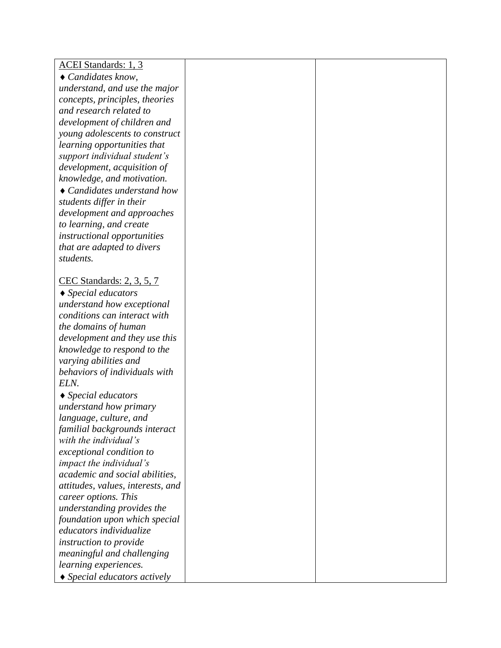| <b>ACEI Standards: 1, 3</b>                      |  |
|--------------------------------------------------|--|
| Candidates know,                                 |  |
| understand, and use the major                    |  |
| concepts, principles, theories                   |  |
| and research related to                          |  |
| development of children and                      |  |
| young adolescents to construct                   |  |
| learning opportunities that                      |  |
| support individual student's                     |  |
| development, acquisition of                      |  |
| knowledge, and motivation.                       |  |
| $\triangle$ Candidates understand how            |  |
| students differ in their                         |  |
| development and approaches                       |  |
| to learning, and create                          |  |
| instructional opportunities                      |  |
| that are adapted to divers                       |  |
| students.                                        |  |
|                                                  |  |
| CEC Standards: 2, 3, 5, 7                        |  |
| $\blacklozenge$ Special educators                |  |
| understand how exceptional                       |  |
| conditions can interact with                     |  |
| the domains of human                             |  |
| development and they use this                    |  |
| knowledge to respond to the                      |  |
| varying abilities and                            |  |
| behaviors of individuals with<br>ELN.            |  |
|                                                  |  |
| $\triangle$ Special educators                    |  |
| understand how primary<br>language, culture, and |  |
| familial backgrounds interact                    |  |
| with the individual's                            |  |
| exceptional condition to                         |  |
| <i>impact the individual's</i>                   |  |
| academic and social abilities,                   |  |
| attitudes, values, interests, and                |  |
| career options. This                             |  |
| understanding provides the                       |  |
| foundation upon which special                    |  |
| educators individualize                          |  |
| instruction to provide                           |  |
| meaningful and challenging                       |  |
| learning experiences.                            |  |
| $\triangle$ Special educators actively           |  |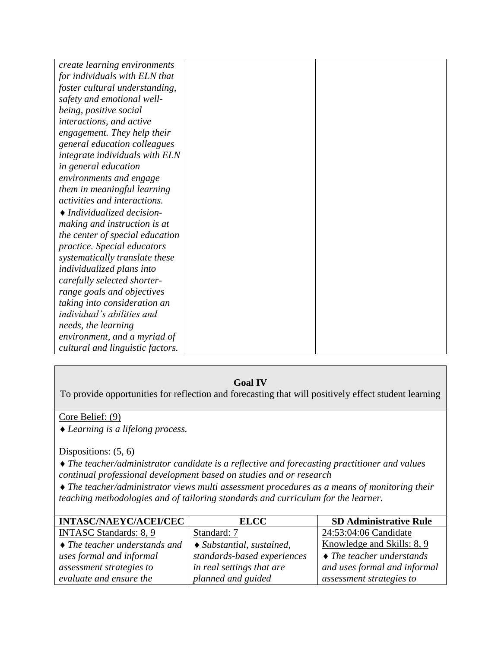| create learning environments     |  |
|----------------------------------|--|
| for individuals with ELN that    |  |
| foster cultural understanding,   |  |
| safety and emotional well-       |  |
| being, positive social           |  |
| interactions, and active         |  |
| engagement. They help their      |  |
| general education colleagues     |  |
| integrate individuals with ELN   |  |
| in general education             |  |
| environments and engage          |  |
| them in meaningful learning      |  |
| activities and interactions.     |  |
| • Individualized decision-       |  |
| making and instruction is at     |  |
| the center of special education  |  |
| practice. Special educators      |  |
| systematically translate these   |  |
| individualized plans into        |  |
| carefully selected shorter-      |  |
| range goals and objectives       |  |
| taking into consideration an     |  |
| individual's abilities and       |  |
| needs, the learning              |  |
| environment, and a myriad of     |  |
| cultural and linguistic factors. |  |

### **Goal IV**

To provide opportunities for reflection and forecasting that will positively effect student learning

### Core Belief: (9)

*Learning is a lifelong process.* 

### Dispositions: (5, 6)

*The teacher/administrator candidate is a reflective and forecasting practitioner and values continual professional development based on studies and or research*

*The teacher/administrator views multi assessment procedures as a means of monitoring their teaching methodologies and of tailoring standards and curriculum for the learner.*

| <b>INTASC/NAEYC/ACEI/CEC</b>                      | <b>ELCC</b>                       | <b>SD Administrative Rule</b>     |
|---------------------------------------------------|-----------------------------------|-----------------------------------|
| <b>INTASC Standards: 8, 9</b>                     | Standard: 7                       | 24:53:04:06 Candidate             |
| $\bullet$ The teacher understands and $\parallel$ | $\bullet$ Substantial, sustained, | Knowledge and Skills: 8, 9        |
| uses formal and informal                          | standards-based experiences       | $\bullet$ The teacher understands |
| assessment strategies to                          | in real settings that are         | and uses formal and informal      |
| evaluate and ensure the                           | planned and guided                | assessment strategies to          |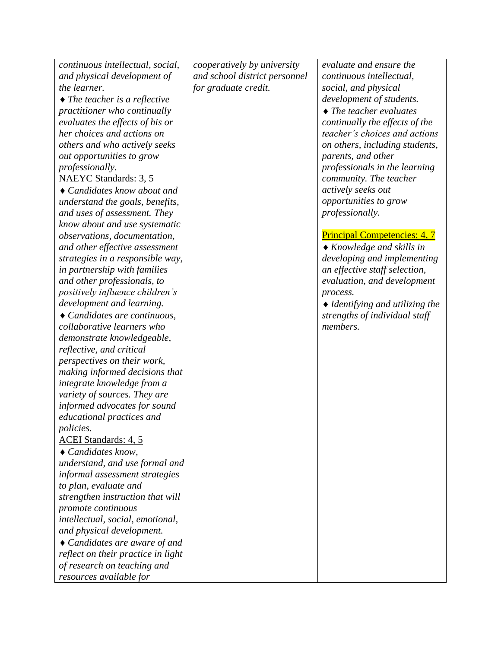| continuous intellectual, social,                                 | cooperatively by university   | evaluate and ensure the                       |
|------------------------------------------------------------------|-------------------------------|-----------------------------------------------|
| and physical development of                                      | and school district personnel | continuous intellectual,                      |
| the learner.                                                     | for graduate credit.          | social, and physical                          |
| $\blacklozenge$ The teacher is a reflective                      |                               | development of students.                      |
| practitioner who continually                                     |                               | $\blacklozenge$ The teacher evaluates         |
| evaluates the effects of his or                                  |                               | continually the effects of the                |
| her choices and actions on                                       |                               | teacher's choices and actions                 |
| others and who actively seeks                                    |                               | on others, including students,                |
| out opportunities to grow                                        |                               | parents, and other                            |
| professionally.                                                  |                               | professionals in the learning                 |
| NAEYC Standards: 3, 5                                            |                               | community. The teacher                        |
| $\triangle$ Candidates know about and                            |                               | actively seeks out                            |
| understand the goals, benefits,                                  |                               | opportunities to grow                         |
| and uses of assessment. They                                     |                               | <i>professionally.</i>                        |
| know about and use systematic                                    |                               |                                               |
| observations, documentation,                                     |                               | <b>Principal Competencies: 4, 7</b>           |
| and other effective assessment                                   |                               | $\triangle$ Knowledge and skills in           |
| strategies in a responsible way,                                 |                               | developing and implementing                   |
| in partnership with families                                     |                               | an effective staff selection,                 |
| and other professionals, to                                      |                               | evaluation, and development                   |
| positively influence children's                                  |                               | process.                                      |
| development and learning.                                        |                               | $\blacklozenge$ Identifying and utilizing the |
| • Candidates are continuous,                                     |                               | strengths of individual staff                 |
| collaborative learners who                                       |                               | members.                                      |
| demonstrate knowledgeable,                                       |                               |                                               |
| reflective, and critical                                         |                               |                                               |
| perspectives on their work,                                      |                               |                                               |
| making informed decisions that                                   |                               |                                               |
| integrate knowledge from a                                       |                               |                                               |
| variety of sources. They are                                     |                               |                                               |
| informed advocates for sound                                     |                               |                                               |
| educational practices and                                        |                               |                                               |
| <i>policies.</i>                                                 |                               |                                               |
| <b>ACEI</b> Standards: 4, 5                                      |                               |                                               |
| Candidates know,                                                 |                               |                                               |
|                                                                  |                               |                                               |
| understand, and use formal and<br>informal assessment strategies |                               |                                               |
|                                                                  |                               |                                               |
| to plan, evaluate and<br>strengthen instruction that will        |                               |                                               |
|                                                                  |                               |                                               |
| promote continuous<br>intellectual, social, emotional,           |                               |                                               |
| and physical development.                                        |                               |                                               |
|                                                                  |                               |                                               |
| $\triangle$ Candidates are aware of and                          |                               |                                               |
| reflect on their practice in light                               |                               |                                               |
| of research on teaching and                                      |                               |                                               |
| resources available for                                          |                               |                                               |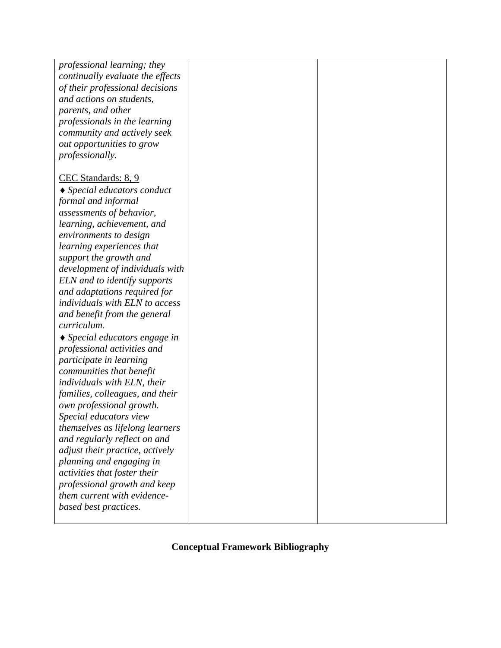| professional learning; they                 |  |
|---------------------------------------------|--|
| continually evaluate the effects            |  |
| of their professional decisions             |  |
| and actions on students,                    |  |
| parents, and other                          |  |
| professionals in the learning               |  |
| community and actively seek                 |  |
| out opportunities to grow                   |  |
| <i>professionally.</i>                      |  |
|                                             |  |
| CEC Standards: 8, 9                         |  |
| $\blacklozenge$ Special educators conduct   |  |
| formal and informal                         |  |
| assessments of behavior,                    |  |
| learning, achievement, and                  |  |
| environments to design                      |  |
| learning experiences that                   |  |
| support the growth and                      |  |
| development of individuals with             |  |
| ELN and to identify supports                |  |
| and adaptations required for                |  |
| individuals with ELN to access              |  |
| and benefit from the general                |  |
| curriculum.                                 |  |
| $\blacklozenge$ Special educators engage in |  |
| professional activities and                 |  |
| participate in learning                     |  |
| communities that benefit                    |  |
| individuals with ELN, their                 |  |
| families, colleagues, and their             |  |
| own professional growth.                    |  |
| Special educators view                      |  |
| themselves as lifelong learners             |  |
| and regularly reflect on and                |  |
| adjust their practice, actively             |  |
| planning and engaging in                    |  |
| activities that foster their                |  |
| professional growth and keep                |  |
| them current with evidence-                 |  |
| based best practices.                       |  |
|                                             |  |

# **Conceptual Framework Bibliography**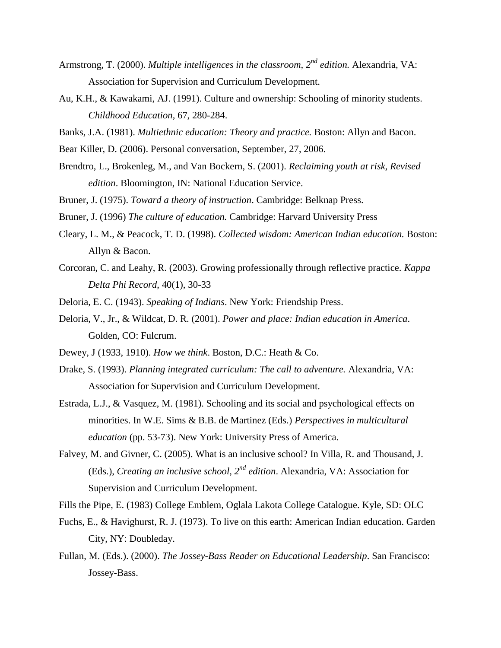- Armstrong, T. (2000). *Multiple intelligences in the classroom, 2nd edition.* Alexandria, VA: Association for Supervision and Curriculum Development.
- Au, K.H., & Kawakami, AJ. (1991). Culture and ownership: Schooling of minority students. *Childhood Education*, 67, 280-284.
- Banks, J.A. (1981). *Multiethnic education: Theory and practice.* Boston: Allyn and Bacon.
- Bear Killer, D. (2006). Personal conversation, September, 27, 2006.
- Brendtro, L., Brokenleg, M., and Van Bockern, S. (2001). *Reclaiming youth at risk, Revised edition*. Bloomington, IN: National Education Service.
- Bruner, J. (1975). *Toward a theory of instruction*. Cambridge: Belknap Press.
- Bruner, J. (1996) *The culture of education.* Cambridge: Harvard University Press
- Cleary, L. M., & Peacock, T. D. (1998). *Collected wisdom: American Indian education.* Boston: Allyn & Bacon.
- Corcoran, C. and Leahy, R. (2003). Growing professionally through reflective practice. *Kappa Delta Phi Record*, 40(1), 30-33
- Deloria, E. C. (1943). *Speaking of Indians*. New York: Friendship Press.
- Deloria, V., Jr., & Wildcat, D. R. (2001). *Power and place: Indian education in America*. Golden, CO: Fulcrum.
- Dewey, J (1933, 1910). *How we think*. Boston, D.C.: Heath & Co.
- Drake, S. (1993). *Planning integrated curriculum: The call to adventure.* Alexandria, VA: Association for Supervision and Curriculum Development.
- Estrada, L.J., & Vasquez, M. (1981). Schooling and its social and psychological effects on minorities. In W.E. Sims & B.B. de Martinez (Eds.) *Perspectives in multicultural education* (pp. 53-73). New York: University Press of America.
- Falvey, M. and Givner, C. (2005). What is an inclusive school? In Villa, R. and Thousand, J. (Eds.), *Creating an inclusive school, 2nd edition*. Alexandria, VA: Association for Supervision and Curriculum Development.
- Fills the Pipe, E. (1983) College Emblem, Oglala Lakota College Catalogue. Kyle, SD: OLC
- Fuchs, E., & Havighurst, R. J. (1973). To live on this earth: American Indian education. Garden City, NY: Doubleday.
- Fullan, M. (Eds.). (2000). *The Jossey-Bass Reader on Educational Leadership*. San Francisco: Jossey-Bass.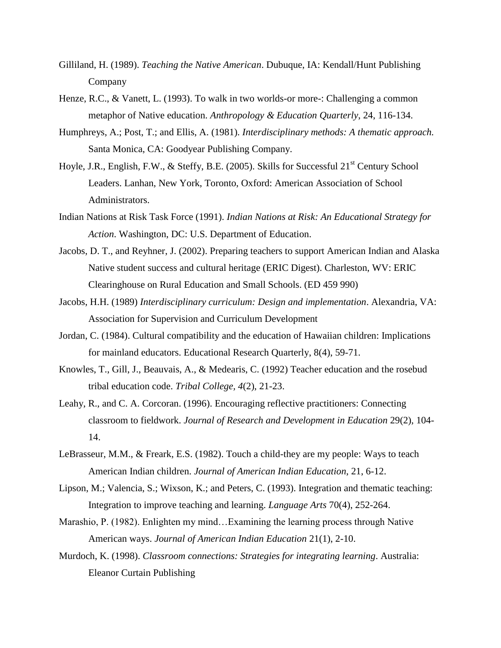- Gilliland, H. (1989). *Teaching the Native American*. Dubuque, IA: Kendall/Hunt Publishing Company
- Henze, R.C., & Vanett, L. (1993). To walk in two worlds-or more-: Challenging a common metaphor of Native education. *Anthropology & Education Quarterly*, 24, 116-134.
- Humphreys, A.; Post, T.; and Ellis, A. (1981). *Interdisciplinary methods: A thematic approach.* Santa Monica, CA: Goodyear Publishing Company.
- Hoyle, J.R., English, F.W., & Steffy, B.E. (2005). Skills for Successful 21<sup>st</sup> Century School Leaders. Lanhan, New York, Toronto, Oxford: American Association of School Administrators.
- Indian Nations at Risk Task Force (1991). *Indian Nations at Risk: An Educational Strategy for Action*. Washington, DC: U.S. Department of Education.
- Jacobs, D. T., and Reyhner, J. (2002). Preparing teachers to support American Indian and Alaska Native student success and cultural heritage (ERIC Digest). Charleston, WV: ERIC Clearinghouse on Rural Education and Small Schools. (ED 459 990)
- Jacobs, H.H. (1989) *Interdisciplinary curriculum: Design and implementation*. Alexandria, VA: Association for Supervision and Curriculum Development
- Jordan, C. (1984). Cultural compatibility and the education of Hawaiian children: Implications for mainland educators. Educational Research Quarterly, 8(4), 59-71.
- Knowles, T., Gill, J., Beauvais, A., & Medearis, C. (1992) Teacher education and the rosebud tribal education code. *Tribal College, 4*(2), 21-23.
- Leahy, R., and C. A. Corcoran. (1996). Encouraging reflective practitioners: Connecting classroom to fieldwork. *Journal of Research and Development in Education* 29(2), 104- 14.
- LeBrasseur, M.M., & Freark, E.S. (1982). Touch a child-they are my people: Ways to teach American Indian children. *Journal of American Indian Education*, 21, 6-12.
- Lipson, M.; Valencia, S.; Wixson, K.; and Peters, C. (1993). Integration and thematic teaching: Integration to improve teaching and learning. *Language Arts* 70(4), 252-264.
- Marashio, P. (1982). Enlighten my mind…Examining the learning process through Native American ways. *Journal of American Indian Education* 21(1), 2-10.
- Murdoch, K. (1998). *Classroom connections: Strategies for integrating learning*. Australia: Eleanor Curtain Publishing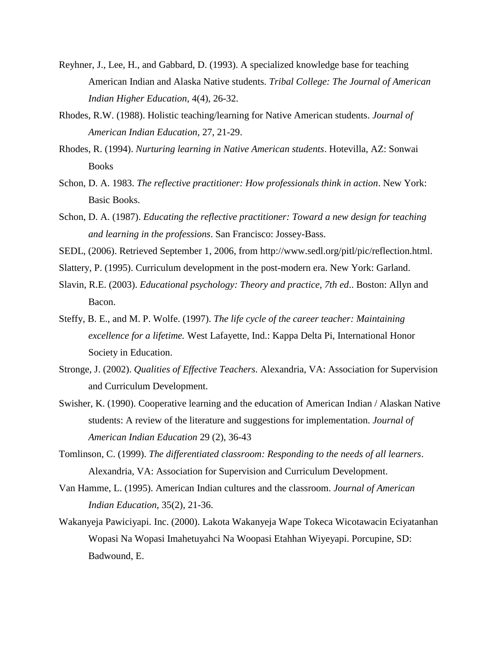- Reyhner, J., Lee, H., and Gabbard, D. (1993). A specialized knowledge base for teaching American Indian and Alaska Native students. *Tribal College: The Journal of American Indian Higher Education*, 4(4), 26-32.
- Rhodes, R.W. (1988). Holistic teaching/learning for Native American students. *Journal of American Indian Education*, 27, 21-29.
- Rhodes, R. (1994). *Nurturing learning in Native American students*. Hotevilla, AZ: Sonwai Books
- Schon, D. A. 1983. *The reflective practitioner: How professionals think in action*. New York: Basic Books.
- Schon, D. A. (1987). *Educating the reflective practitioner: Toward a new design for teaching and learning in the professions*. San Francisco: Jossey-Bass.
- SEDL, (2006). Retrieved September 1, 2006, from http://www.sedl.org/pitl/pic/reflection.html.
- Slattery, P. (1995). Curriculum development in the post-modern era. New York: Garland.
- Slavin, R.E. (2003). *Educational psychology: Theory and practice, 7th ed*.. Boston: Allyn and Bacon.
- Steffy, B. E., and M. P. Wolfe. (1997). *The life cycle of the career teacher: Maintaining excellence for a lifetime.* West Lafayette, Ind.: Kappa Delta Pi, International Honor Society in Education.
- Stronge, J. (2002). *Qualities of Effective Teachers*. Alexandria, VA: Association for Supervision and Curriculum Development.
- Swisher, K. (1990). Cooperative learning and the education of American Indian / Alaskan Native students: A review of the literature and suggestions for implementation. *Journal of American Indian Education* 29 (2), 36-43
- Tomlinson, C. (1999). *The differentiated classroom: Responding to the needs of all learners*. Alexandria, VA: Association for Supervision and Curriculum Development.
- Van Hamme, L. (1995). American Indian cultures and the classroom. *Journal of American Indian Education*, 35(2), 21-36.
- Wakanyeja Pawiciyapi. Inc. (2000). Lakota Wakanyeja Wape Tokeca Wicotawacin Eciyatanhan Wopasi Na Wopasi Imahetuyahci Na Woopasi Etahhan Wiyeyapi. Porcupine, SD: Badwound, E.